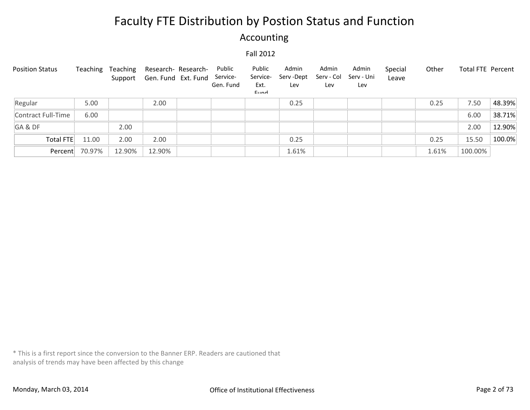### Accounting

#### Fall 2012

| <b>Position Status</b> | Teaching | Teaching | Support Gen. Fund Ext. Fund | Research- Research- | Public<br>Service-<br>Gen. Fund | Public<br>Service-<br>Ext.<br>Eund | Admin<br>Serv -Dept<br>Lev | Admin<br>Serv - Col<br>Lev | Admin<br>Serv - Uni<br>Lev | Special<br>Leave | Other | <b>Total FTE Percent</b> |        |
|------------------------|----------|----------|-----------------------------|---------------------|---------------------------------|------------------------------------|----------------------------|----------------------------|----------------------------|------------------|-------|--------------------------|--------|
| Regular                | 5.00     |          | 2.00                        |                     |                                 |                                    | 0.25                       |                            |                            |                  | 0.25  | 7.50                     | 48.39% |
| Contract Full-Time     | 6.00     |          |                             |                     |                                 |                                    |                            |                            |                            |                  |       | 6.00                     | 38.71% |
| GA&DF                  |          | 2.00     |                             |                     |                                 |                                    |                            |                            |                            |                  |       | 2.00                     | 12.90% |
| Total FTE              | 11.00    | 2.00     | 2.00                        |                     |                                 |                                    | 0.25                       |                            |                            |                  | 0.25  | 15.50                    | 100.0% |
| Percent                | 70.97%   | 12.90%   | 12.90%                      |                     |                                 |                                    | 1.61%                      |                            |                            |                  | 1.61% | 100.00%                  |        |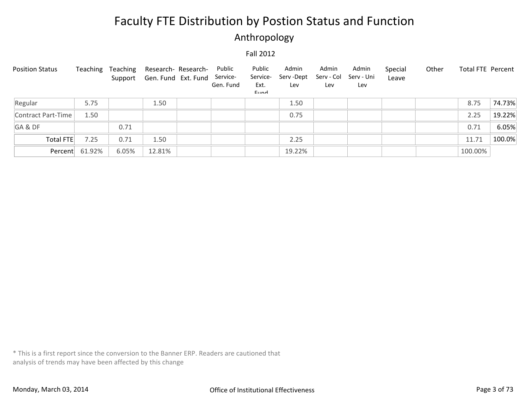### Anthropology

#### Fall 2012

| <b>Position Status</b> | Teaching       | Teaching | Research- Research-<br>Support Gen. Fund Ext. Fund | Public<br>Service-<br>Gen. Fund | Public<br>Service-<br>Ext.<br>Eund | Admin<br>Serv -Dept<br>Lev | Admin<br>Serv - Col<br>Lev | Admin<br>Serv - Uni<br>Lev | Special<br>Leave | Other | Total FTE Percent |        |
|------------------------|----------------|----------|----------------------------------------------------|---------------------------------|------------------------------------|----------------------------|----------------------------|----------------------------|------------------|-------|-------------------|--------|
| Regular                | 5.75           |          | 1.50                                               |                                 |                                    | 1.50                       |                            |                            |                  |       | 8.75              | 74.73% |
| Contract Part-Time     | 1.50           |          |                                                    |                                 |                                    | 0.75                       |                            |                            |                  |       | 2.25              | 19.22% |
| GA&DF                  |                | 0.71     |                                                    |                                 |                                    |                            |                            |                            |                  |       | 0.71              | 6.05%  |
| Total FTE              | 7.25           | 0.71     | 1.50                                               |                                 |                                    | 2.25                       |                            |                            |                  |       | 11.71             | 100.0% |
|                        | Percent 61.92% | 6.05%    | 12.81%                                             |                                 |                                    | 19.22%                     |                            |                            |                  |       | 100.00%           |        |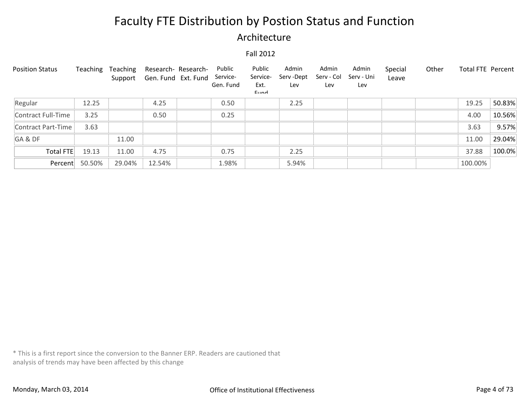### Architecture

#### Fall 2012

| <b>Position Status</b> | Teaching | Teaching<br>Support | Gen. Fund Ext. Fund | Research- Research- | Public<br>Service-<br>Gen. Fund | Public<br>Service-<br>Ext.<br>Eund | Admin<br>Serv-Dept<br>Lev | Admin<br>Serv - Col<br>Lev | Admin<br>Serv - Uni<br>Lev | Special<br>Leave | Other | <b>Total FTE Percent</b> |        |
|------------------------|----------|---------------------|---------------------|---------------------|---------------------------------|------------------------------------|---------------------------|----------------------------|----------------------------|------------------|-------|--------------------------|--------|
| Regular                | 12.25    |                     | 4.25                |                     | 0.50                            |                                    | 2.25                      |                            |                            |                  |       | 19.25                    | 50.83% |
| Contract Full-Time     | 3.25     |                     | 0.50                |                     | 0.25                            |                                    |                           |                            |                            |                  |       | 4.00                     | 10.56% |
| Contract Part-Time     | 3.63     |                     |                     |                     |                                 |                                    |                           |                            |                            |                  |       | 3.63                     | 9.57%  |
| GA&DF                  |          | 11.00               |                     |                     |                                 |                                    |                           |                            |                            |                  |       | 11.00                    | 29.04% |
| Total FTE              | 19.13    | 11.00               | 4.75                |                     | 0.75                            |                                    | 2.25                      |                            |                            |                  |       | 37.88                    | 100.0% |
| Percent                | 50.50%   | 29.04%              | 12.54%              |                     | 1.98%                           |                                    | 5.94%                     |                            |                            |                  |       | 100.00%                  |        |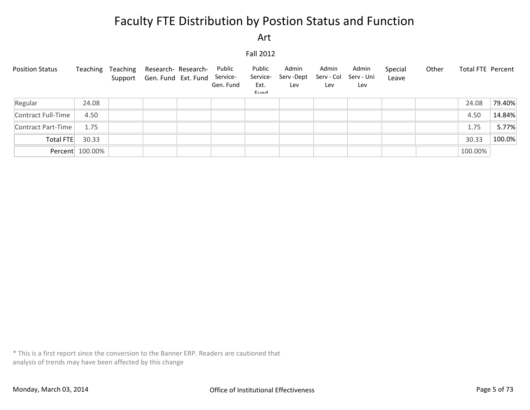Art

Fall 2012

| <b>Position Status</b> | Teaching        | Teaching | Research- Research-<br>Support Gen. Fund Ext. Fund | Public<br>Service-<br>Gen. Fund | Public<br>Service-<br>Ext.<br>Eund | Admin<br>Serv -Dept<br>Lev | Admin<br>Serv - Col<br>Lev | Admin<br>Serv - Uni<br>Lev | Special<br>Leave | Other | Total FTE Percent |        |
|------------------------|-----------------|----------|----------------------------------------------------|---------------------------------|------------------------------------|----------------------------|----------------------------|----------------------------|------------------|-------|-------------------|--------|
| Regular                | 24.08           |          |                                                    |                                 |                                    |                            |                            |                            |                  |       | 24.08             | 79.40% |
| Contract Full-Time     | 4.50            |          |                                                    |                                 |                                    |                            |                            |                            |                  |       | 4.50              | 14.84% |
| Contract Part-Time     | 1.75            |          |                                                    |                                 |                                    |                            |                            |                            |                  |       | 1.75              | 5.77%  |
| Total FTE              | 30.33           |          |                                                    |                                 |                                    |                            |                            |                            |                  |       | 30.33             | 100.0% |
|                        | Percent 100.00% |          |                                                    |                                 |                                    |                            |                            |                            |                  |       | 100.00%           |        |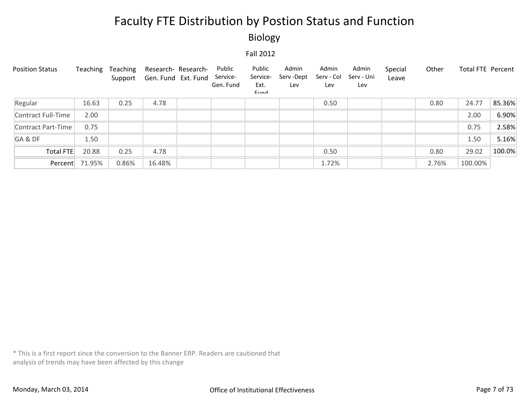Biology

Fall 2012

| <b>Position Status</b> | Teaching | Teaching<br>Support | Research- Research-<br>Gen. Fund Ext. Fund | Public<br>Service-<br>Gen. Fund | Public<br>Service-<br>Ext.<br>Eund | Admin<br>Serv-Dept<br>Lev | Admin<br>Serv - Col<br>Lev | Admin<br>Serv - Uni<br>Lev | Special<br>Leave | Other | <b>Total FTE Percent</b> |        |
|------------------------|----------|---------------------|--------------------------------------------|---------------------------------|------------------------------------|---------------------------|----------------------------|----------------------------|------------------|-------|--------------------------|--------|
| Regular                | 16.63    | 0.25                | 4.78                                       |                                 |                                    |                           | 0.50                       |                            |                  | 0.80  | 24.77                    | 85.36% |
| Contract Full-Time     | 2.00     |                     |                                            |                                 |                                    |                           |                            |                            |                  |       | 2.00                     | 6.90%  |
| Contract Part-Time     | 0.75     |                     |                                            |                                 |                                    |                           |                            |                            |                  |       | 0.75                     | 2.58%  |
| GA&DF                  | 1.50     |                     |                                            |                                 |                                    |                           |                            |                            |                  |       | 1.50                     | 5.16%  |
| Total FTE              | 20.88    | 0.25                | 4.78                                       |                                 |                                    |                           | 0.50                       |                            |                  | 0.80  | 29.02                    | 100.0% |
| Percent                | 71.95%   | 0.86%               | 16.48%                                     |                                 |                                    |                           | 1.72%                      |                            |                  | 2.76% | 100.00%                  |        |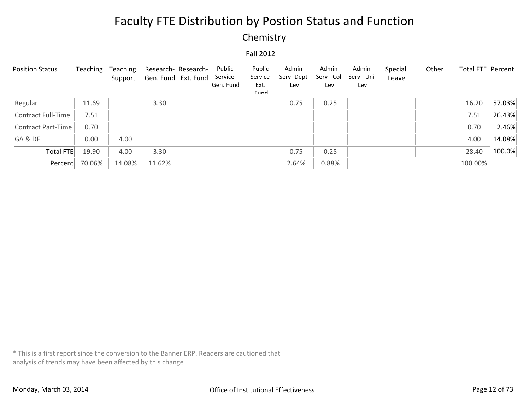### **Chemistry**

#### Fall 2012

| <b>Position Status</b> | Teaching | Teaching<br>Support | Research- Research-<br>Gen. Fund Ext. Fund | Public<br>Service-<br>Gen. Fund | Public<br>Service-<br>Ext.<br>$E$ <sub>IIM</sub> | Admin<br>Serv -Dept<br>Lev | Admin<br>Serv - Col<br>Lev | Admin<br>Serv - Uni<br>Lev | Special<br>Leave | Other | Total FTE Percent |        |
|------------------------|----------|---------------------|--------------------------------------------|---------------------------------|--------------------------------------------------|----------------------------|----------------------------|----------------------------|------------------|-------|-------------------|--------|
| Regular                | 11.69    |                     | 3.30                                       |                                 |                                                  | 0.75                       | 0.25                       |                            |                  |       | 16.20             | 57.03% |
| Contract Full-Time     | 7.51     |                     |                                            |                                 |                                                  |                            |                            |                            |                  |       | 7.51              | 26.43% |
| Contract Part-Time     | 0.70     |                     |                                            |                                 |                                                  |                            |                            |                            |                  |       | 0.70              | 2.46%  |
| GA&DF                  | 0.00     | 4.00                |                                            |                                 |                                                  |                            |                            |                            |                  |       | 4.00              | 14.08% |
| Total FTE              | 19.90    | 4.00                | 3.30                                       |                                 |                                                  | 0.75                       | 0.25                       |                            |                  |       | 28.40             | 100.0% |
| Percent                | 70.06%   | 14.08%              | 11.62%                                     |                                 |                                                  | 2.64%                      | 0.88%                      |                            |                  |       | 100.00%           |        |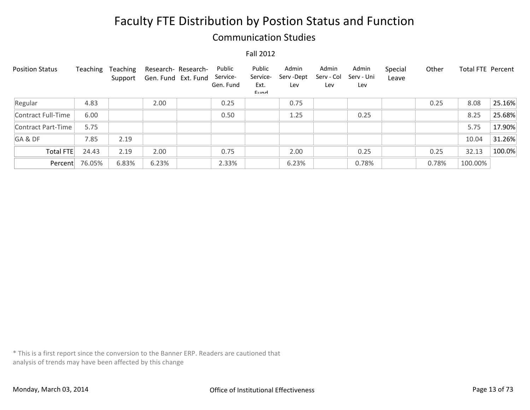### Communication Studies

#### Fall 2012

| <b>Position Status</b> | Teaching | Teaching<br>Support | Research- Research-<br>Gen. Fund Ext. Fund | Public<br>Service-<br>Gen. Fund | Public<br>Service-<br>Ext.<br>Eund | Admin<br>Serv-Dept<br>Lev | Admin<br>Serv - Col<br>Lev | Admin<br>Serv - Uni<br>Lev | Special<br>Leave | Other | Total FTE Percent |        |
|------------------------|----------|---------------------|--------------------------------------------|---------------------------------|------------------------------------|---------------------------|----------------------------|----------------------------|------------------|-------|-------------------|--------|
| Regular                | 4.83     |                     | 2.00                                       | 0.25                            |                                    | 0.75                      |                            |                            |                  | 0.25  | 8.08              | 25.16% |
| Contract Full-Time     | 6.00     |                     |                                            | 0.50                            |                                    | 1.25                      |                            | 0.25                       |                  |       | 8.25              | 25.68% |
| Contract Part-Time     | 5.75     |                     |                                            |                                 |                                    |                           |                            |                            |                  |       | 5.75              | 17.90% |
| GA&DF                  | 7.85     | 2.19                |                                            |                                 |                                    |                           |                            |                            |                  |       | 10.04             | 31.26% |
| <b>Total FTE</b>       | 24.43    | 2.19                | 2.00                                       | 0.75                            |                                    | 2.00                      |                            | 0.25                       |                  | 0.25  | 32.13             | 100.0% |
| Percent                | 76.05%   | 6.83%               | 6.23%                                      | 2.33%                           |                                    | 6.23%                     |                            | 0.78%                      |                  | 0.78% | 100.00%           |        |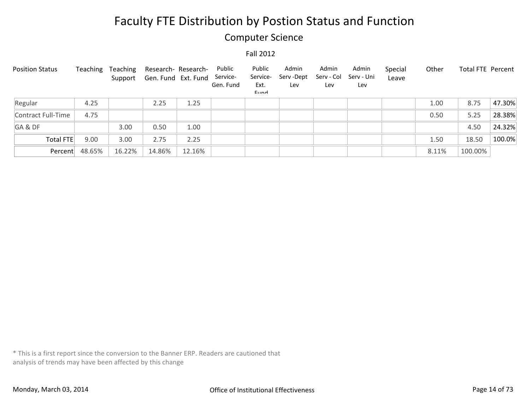### Computer Science

#### Fall 2012

| <b>Position Status</b> | Teaching | Teaching<br>Support | Research- Research-<br>Gen. Fund Ext. Fund |        | Public<br>Service-<br>Gen. Fund | Public<br>Service-<br>Ext.<br>Eund | Admin<br>Serv -Dept<br>Lev | Admin<br>Serv - Col<br>Lev | Admin<br>Serv - Uni<br>Lev | Special<br>Leave | Other | Total FTE Percent |        |
|------------------------|----------|---------------------|--------------------------------------------|--------|---------------------------------|------------------------------------|----------------------------|----------------------------|----------------------------|------------------|-------|-------------------|--------|
| Regular                | 4.25     |                     | 2.25                                       | 1.25   |                                 |                                    |                            |                            |                            |                  | 1.00  | 8.75              | 47.30% |
| Contract Full-Time     | 4.75     |                     |                                            |        |                                 |                                    |                            |                            |                            |                  | 0.50  | 5.25              | 28.38% |
| GA&DF                  |          | 3.00                | 0.50                                       | 1.00   |                                 |                                    |                            |                            |                            |                  |       | 4.50              | 24.32% |
| Total FTE              | 9.00     | 3.00                | 2.75                                       | 2.25   |                                 |                                    |                            |                            |                            |                  | 1.50  | 18.50             | 100.0% |
| Percent                | 48.65%   | 16.22%              | 14.86%                                     | 12.16% |                                 |                                    |                            |                            |                            |                  | 8.11% | 100.00%           |        |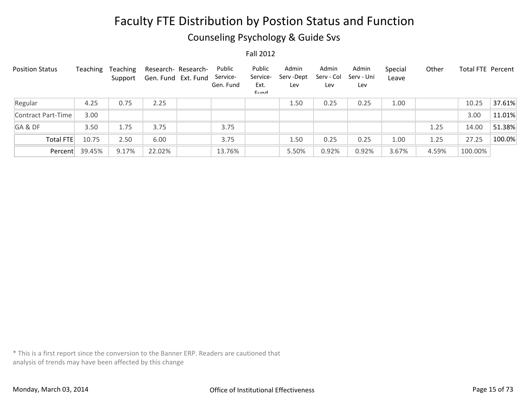### Counseling Psychology & Guide Svs

Fall 2012

| <b>Position Status</b> | Teaching | <b>Teaching</b><br>Support |        | Research- Research-<br>Gen. Fund Ext. Fund | Public<br>Service-<br>Gen. Fund | Public<br>Service-<br>Ext.<br>Eund | Admin<br>Serv-Dept<br>Lev | Admin<br>Serv - Col<br>Lev | Admin<br>Serv - Uni<br>Lev | Special<br>Leave | Other | <b>Total FTE Percent</b> |        |
|------------------------|----------|----------------------------|--------|--------------------------------------------|---------------------------------|------------------------------------|---------------------------|----------------------------|----------------------------|------------------|-------|--------------------------|--------|
| Regular                | 4.25     | 0.75                       | 2.25   |                                            |                                 |                                    | 1.50                      | 0.25                       | 0.25                       | 1.00             |       | 10.25                    | 37.61% |
| Contract Part-Time     | 3.00     |                            |        |                                            |                                 |                                    |                           |                            |                            |                  |       | 3.00                     | 11.01% |
| GA&DF                  | 3.50     | 1.75                       | 3.75   |                                            | 3.75                            |                                    |                           |                            |                            |                  | 1.25  | 14.00                    | 51.38% |
| Total FTE              | 10.75    | 2.50                       | 6.00   |                                            | 3.75                            |                                    | 1.50                      | 0.25                       | 0.25                       | 1.00             | 1.25  | 27.25                    | 100.0% |
| Percent                | 39.45%   | 9.17%                      | 22.02% |                                            | 13.76%                          |                                    | 5.50%                     | 0.92%                      | 0.92%                      | 3.67%            | 4.59% | 100.00%                  |        |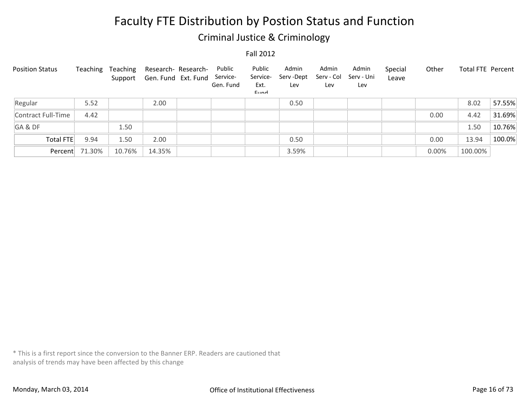### Criminal Justice & Criminology

Fall 2012

| <b>Position Status</b> | Teaching | Teaching | Support Gen. Fund Ext. Fund | Research- Research- | Public<br>Service-<br>Gen. Fund | Public<br>Service-<br>Ext.<br>Eund | Admin<br>Serv-Dept<br>Lev | Admin<br>Serv - Col<br>Lev | Admin<br>Serv - Uni<br>Lev | Special<br>Leave | Other | Total FTE Percent |        |
|------------------------|----------|----------|-----------------------------|---------------------|---------------------------------|------------------------------------|---------------------------|----------------------------|----------------------------|------------------|-------|-------------------|--------|
| Regular                | 5.52     |          | 2.00                        |                     |                                 |                                    | 0.50                      |                            |                            |                  |       | 8.02              | 57.55% |
| Contract Full-Time     | 4.42     |          |                             |                     |                                 |                                    |                           |                            |                            |                  | 0.00  | 4.42              | 31.69% |
| GA&DF                  |          | 1.50     |                             |                     |                                 |                                    |                           |                            |                            |                  |       | 1.50              | 10.76% |
| Total FTE              | 9.94     | 1.50     | 2.00                        |                     |                                 |                                    | 0.50                      |                            |                            |                  | 0.00  | 13.94             | 100.0% |
| Percent                | 71.30%   | 10.76%   | 14.35%                      |                     |                                 |                                    | 3.59%                     |                            |                            |                  | 0.00% | 100.00%           |        |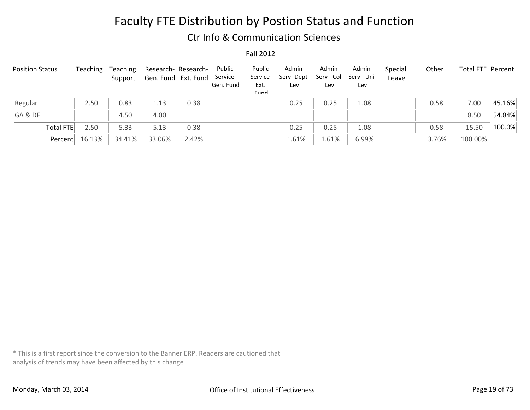### Ctr Info & Communication Sciences

Fall 2012

| <b>Position Status</b> |           | Teaching | Teaching<br>Support | Research- Research-<br>Gen. Fund Ext. Fund |       | Public<br>Service-<br>Gen. Fund | Public<br>Service-<br>Ext.<br>Eund | Admin<br>Serv -Dept<br>Lev | Admin<br>Serv - Col<br>Lev | Admin<br>Serv - Uni<br>Lev | Special<br>Leave | Other | Total FTE Percent |        |
|------------------------|-----------|----------|---------------------|--------------------------------------------|-------|---------------------------------|------------------------------------|----------------------------|----------------------------|----------------------------|------------------|-------|-------------------|--------|
| Regular                |           | 2.50     | 0.83                | 1.13                                       | 0.38  |                                 |                                    | 0.25                       | 0.25                       | 1.08                       |                  | 0.58  | 7.00              | 45.16% |
| GA&DF                  |           |          | 4.50                | 4.00                                       |       |                                 |                                    |                            |                            |                            |                  |       | 8.50              | 54.84% |
|                        | Total FTE | 2.50     | 5.33                | 5.13                                       | 0.38  |                                 |                                    | 0.25                       | 0.25                       | 1.08                       |                  | 0.58  | 15.50             | 100.0% |
|                        | Percent   | 16.13%   | 34.41%              | 33.06%                                     | 2.42% |                                 |                                    | 1.61%                      | 1.61%                      | 6.99%                      |                  | 3.76% | 100.00%           |        |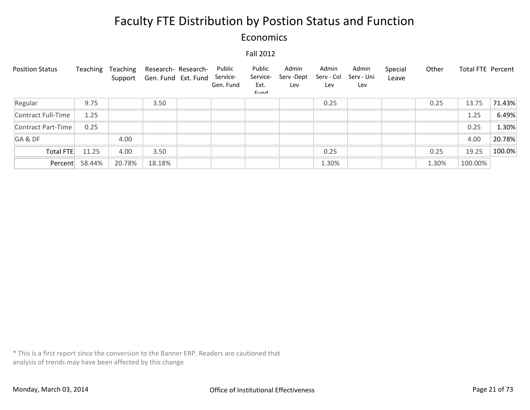### Economics

#### Fall 2012

| <b>Position Status</b> | Teaching | Teaching<br>Support | Research- Research-<br>Gen. Fund Ext. Fund | Public<br>Service-<br>Gen. Fund | Public<br>Service-<br>Ext.<br>$E$ <sub>IIM</sub> | Admin<br>Serv -Dept<br>Lev | Admin<br>Serv - Col<br>Lev | Admin<br>Serv - Uni<br>Lev | Special<br>Leave | Other | Total FTE Percent |        |
|------------------------|----------|---------------------|--------------------------------------------|---------------------------------|--------------------------------------------------|----------------------------|----------------------------|----------------------------|------------------|-------|-------------------|--------|
| Regular                | 9.75     |                     | 3.50                                       |                                 |                                                  |                            | 0.25                       |                            |                  | 0.25  | 13.75             | 71.43% |
| Contract Full-Time     | 1.25     |                     |                                            |                                 |                                                  |                            |                            |                            |                  |       | 1.25              | 6.49%  |
| Contract Part-Time     | 0.25     |                     |                                            |                                 |                                                  |                            |                            |                            |                  |       | 0.25              | 1.30%  |
| GA&DF                  |          | 4.00                |                                            |                                 |                                                  |                            |                            |                            |                  |       | 4.00              | 20.78% |
| Total FTE              | 11.25    | 4.00                | 3.50                                       |                                 |                                                  |                            | 0.25                       |                            |                  | 0.25  | 19.25             | 100.0% |
| Percent                | 58.44%   | 20.78%              | 18.18%                                     |                                 |                                                  |                            | 1.30%                      |                            |                  | 1.30% | 100.00%           |        |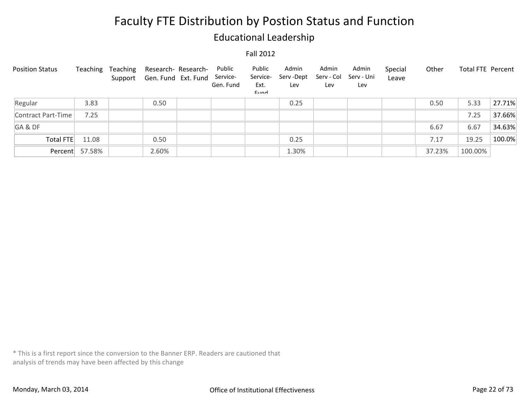### Educational Leadership

#### Fall 2012

| <b>Position Status</b> | Teaching       | Teaching | Research- Research-<br>Support Gen. Fund Ext. Fund | Public<br>Service-<br>Gen. Fund | Public<br>Service-<br>Ext.<br>$E$ <sub>IIM</sub> | Admin<br>Serv -Dept<br>Lev | Admin<br>Serv - Col<br>Lev | Admin<br>Serv - Uni<br>Lev | Special<br>Leave | Other  | Total FTE Percent |        |
|------------------------|----------------|----------|----------------------------------------------------|---------------------------------|--------------------------------------------------|----------------------------|----------------------------|----------------------------|------------------|--------|-------------------|--------|
| Regular                | 3.83           |          | 0.50                                               |                                 |                                                  | 0.25                       |                            |                            |                  | 0.50   | 5.33              | 27.71% |
| Contract Part-Time     | 7.25           |          |                                                    |                                 |                                                  |                            |                            |                            |                  |        | 7.25              | 37.66% |
| GA&DF                  |                |          |                                                    |                                 |                                                  |                            |                            |                            |                  | 6.67   | 6.67              | 34.63% |
| Total FTE              | 11.08          |          | 0.50                                               |                                 |                                                  | 0.25                       |                            |                            |                  | 7.17   | 19.25             | 100.0% |
|                        | Percent 57.58% |          | 2.60%                                              |                                 |                                                  | 1.30%                      |                            |                            |                  | 37.23% | 100.00%           |        |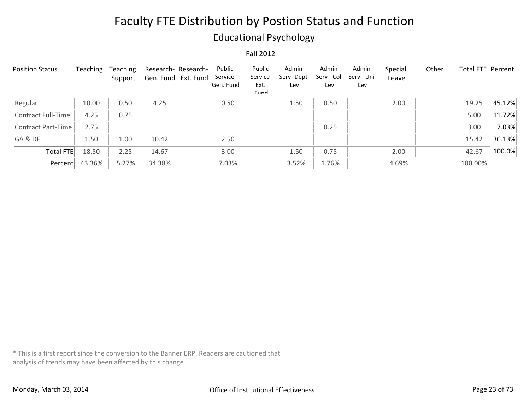### Educational Psychology

#### Fall 2012

| <b>Position Status</b> | Teaching | Teaching<br>Support | Research- Research-<br>Gen. Fund Ext. Fund | Public<br>Service-<br>Gen. Fund | Public<br>Service-<br>Ext.<br>$E$ <sub>IIM</sub> | Admin<br>Serv -Dept<br>Lev | Admin<br>Serv - Col<br>Lev | Admin<br>Serv - Uni<br>Lev | Special<br>Leave | Other | <b>Total FTE Percent</b> |        |
|------------------------|----------|---------------------|--------------------------------------------|---------------------------------|--------------------------------------------------|----------------------------|----------------------------|----------------------------|------------------|-------|--------------------------|--------|
| Regular                | 10.00    | 0.50                | 4.25                                       | 0.50                            |                                                  | 1.50                       | 0.50                       |                            | 2.00             |       | 19.25                    | 45.12% |
| Contract Full-Time     | 4.25     | 0.75                |                                            |                                 |                                                  |                            |                            |                            |                  |       | 5.00                     | 11.72% |
| Contract Part-Time     | 2.75     |                     |                                            |                                 |                                                  |                            | 0.25                       |                            |                  |       | 3.00                     | 7.03%  |
| GA&DF                  | 1.50     | 1.00                | 10.42                                      | 2.50                            |                                                  |                            |                            |                            |                  |       | 15.42                    | 36.13% |
| Total FTE              | 18.50    | 2.25                | 14.67                                      | 3.00                            |                                                  | 1.50                       | 0.75                       |                            | 2.00             |       | 42.67                    | 100.0% |
| Percent                | 43.36%   | 5.27%               | 34.38%                                     | 7.03%                           |                                                  | 3.52%                      | 1.76%                      |                            | 4.69%            |       | 100.00%                  |        |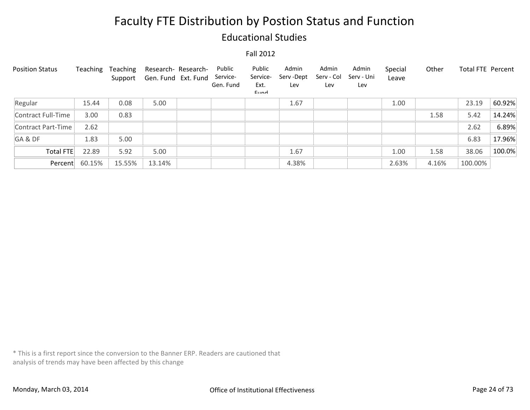### Educational Studies

#### Fall 2012

| <b>Position Status</b> | Teaching | Teaching<br>Support | Gen. Fund Ext. Fund | Research- Research- | Public<br>Service-<br>Gen. Fund | Public<br>Service-<br>Ext.<br>$E$ <sub>IIM</sub> | Admin<br>Serv -Dept<br>Lev | Admin<br>Serv - Col<br>Lev | Admin<br>Serv - Uni<br>Lev | Special<br>Leave | Other | <b>Total FTE Percent</b> |        |
|------------------------|----------|---------------------|---------------------|---------------------|---------------------------------|--------------------------------------------------|----------------------------|----------------------------|----------------------------|------------------|-------|--------------------------|--------|
| Regular                | 15.44    | 0.08                | 5.00                |                     |                                 |                                                  | 1.67                       |                            |                            | 1.00             |       | 23.19                    | 60.92% |
| Contract Full-Time     | 3.00     | 0.83                |                     |                     |                                 |                                                  |                            |                            |                            |                  | 1.58  | 5.42                     | 14.24% |
| Contract Part-Time     | 2.62     |                     |                     |                     |                                 |                                                  |                            |                            |                            |                  |       | 2.62                     | 6.89%  |
| GA&DF                  | 1.83     | 5.00                |                     |                     |                                 |                                                  |                            |                            |                            |                  |       | 6.83                     | 17.96% |
| Total FTE              | 22.89    | 5.92                | 5.00                |                     |                                 |                                                  | 1.67                       |                            |                            | 1.00             | 1.58  | 38.06                    | 100.0% |
| Percent                | 60.15%   | 15.55%              | 13.14%              |                     |                                 |                                                  | 4.38%                      |                            |                            | 2.63%            | 4.16% | 100.00%                  |        |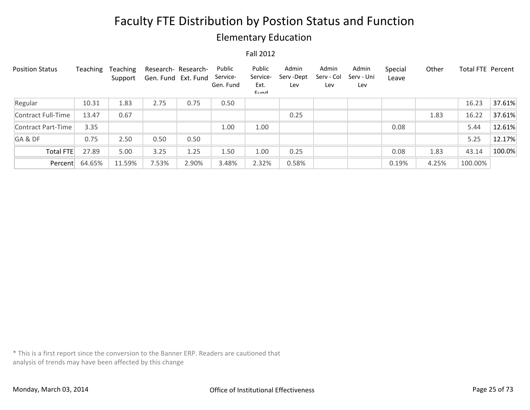### Elementary Education

#### Fall 2012

| <b>Position Status</b> | Teaching | Teaching<br>Support | Research- Research-<br>Gen. Fund Ext. Fund |       | Public<br>Service-<br>Gen. Fund | Public<br>Service-<br>Ext.<br>Eund | Admin<br>Serv-Dept<br>Lev | Admin<br>Serv - Col<br>Lev | Admin<br>Serv - Uni<br>Lev | Special<br>Leave | Other | <b>Total FTE Percent</b> |        |
|------------------------|----------|---------------------|--------------------------------------------|-------|---------------------------------|------------------------------------|---------------------------|----------------------------|----------------------------|------------------|-------|--------------------------|--------|
| Regular                | 10.31    | 1.83                | 2.75                                       | 0.75  | 0.50                            |                                    |                           |                            |                            |                  |       | 16.23                    | 37.61% |
| Contract Full-Time     | 13.47    | 0.67                |                                            |       |                                 |                                    | 0.25                      |                            |                            |                  | 1.83  | 16.22                    | 37.61% |
| Contract Part-Time     | 3.35     |                     |                                            |       | 1.00                            | 1.00                               |                           |                            |                            | 0.08             |       | 5.44                     | 12.61% |
| GA&DF                  | 0.75     | 2.50                | 0.50                                       | 0.50  |                                 |                                    |                           |                            |                            |                  |       | 5.25                     | 12.17% |
| Total FTE              | 27.89    | 5.00                | 3.25                                       | 1.25  | 1.50                            | 1.00                               | 0.25                      |                            |                            | 0.08             | 1.83  | 43.14                    | 100.0% |
| Percent                | 64.65%   | 11.59%              | 7.53%                                      | 2.90% | 3.48%                           | 2.32%                              | 0.58%                     |                            |                            | 0.19%            | 4.25% | 100.00%                  |        |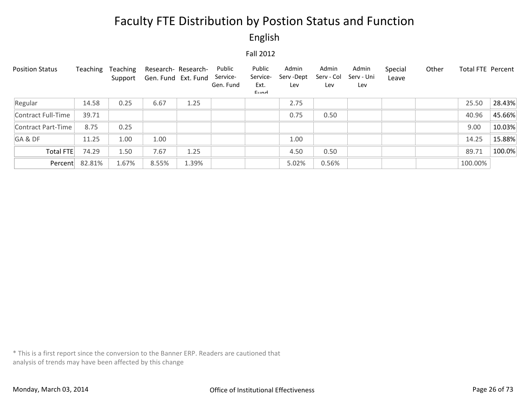English

Fall 2012

| <b>Position Status</b> | Teaching | Teaching<br>Support | Research- Research-<br>Gen. Fund Ext. Fund |       | Public<br>Service-<br>Gen. Fund | Public<br>Service-<br>Ext.<br>$E$ <sub>IIM</sub> | Admin<br>Serv -Dept<br>Lev | Admin<br>Serv - Col<br>Lev | Admin<br>Serv - Uni<br>Lev | Special<br>Leave | Other | Total FTE Percent |        |
|------------------------|----------|---------------------|--------------------------------------------|-------|---------------------------------|--------------------------------------------------|----------------------------|----------------------------|----------------------------|------------------|-------|-------------------|--------|
| Regular                | 14.58    | 0.25                | 6.67                                       | 1.25  |                                 |                                                  | 2.75                       |                            |                            |                  |       | 25.50             | 28.43% |
| Contract Full-Time     | 39.71    |                     |                                            |       |                                 |                                                  | 0.75                       | 0.50                       |                            |                  |       | 40.96             | 45.66% |
| Contract Part-Time     | 8.75     | 0.25                |                                            |       |                                 |                                                  |                            |                            |                            |                  |       | 9.00              | 10.03% |
| GA&DF                  | 11.25    | 1.00                | 1.00                                       |       |                                 |                                                  | 1.00                       |                            |                            |                  |       | 14.25             | 15.88% |
| <b>Total FTE</b>       | 74.29    | 1.50                | 7.67                                       | 1.25  |                                 |                                                  | 4.50                       | 0.50                       |                            |                  |       | 89.71             | 100.0% |
| Percent                | 82.81%   | 1.67%               | 8.55%                                      | 1.39% |                                 |                                                  | 5.02%                      | 0.56%                      |                            |                  |       | 100.00%           |        |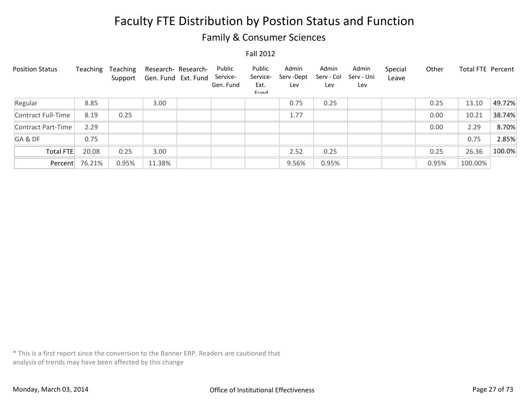### Family & Consumer Sciences

#### Fall 2012

| <b>Position Status</b> | Teaching | Teaching<br>Support | Gen. Fund Ext. Fund | Research- Research- | Public<br>Service-<br>Gen. Fund | Public<br>Service-<br>Ext.<br>$E$ <sub>IIM</sub> | Admin<br>Serv -Dept<br>Lev | Admin<br>Serv - Col<br>Lev | Admin<br>Serv - Uni<br>Lev | Special<br>Leave | Other | <b>Total FTE Percent</b> |        |
|------------------------|----------|---------------------|---------------------|---------------------|---------------------------------|--------------------------------------------------|----------------------------|----------------------------|----------------------------|------------------|-------|--------------------------|--------|
| Regular                | 8.85     |                     | 3.00                |                     |                                 |                                                  | 0.75                       | 0.25                       |                            |                  | 0.25  | 13.10                    | 49.72% |
| Contract Full-Time     | 8.19     | 0.25                |                     |                     |                                 |                                                  | 1.77                       |                            |                            |                  | 0.00  | 10.21                    | 38.74% |
| Contract Part-Time     | 2.29     |                     |                     |                     |                                 |                                                  |                            |                            |                            |                  | 0.00  | 2.29                     | 8.70%  |
| GA&DF                  | 0.75     |                     |                     |                     |                                 |                                                  |                            |                            |                            |                  |       | 0.75                     | 2.85%  |
| Total FTE              | 20.08    | 0.25                | 3.00                |                     |                                 |                                                  | 2.52                       | 0.25                       |                            |                  | 0.25  | 26.36                    | 100.0% |
| Percent                | 76.21%   | 0.95%               | 11.38%              |                     |                                 |                                                  | 9.56%                      | 0.95%                      |                            |                  | 0.95% | 100.00%                  |        |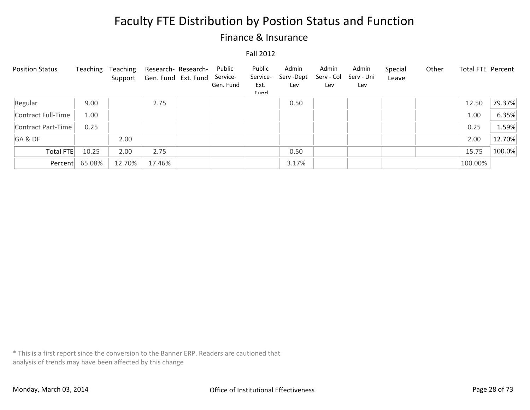### Finance & Insurance

#### Fall 2012

| <b>Position Status</b> | Teaching | Teaching<br>Support | Research- Research-<br>Gen. Fund Ext. Fund | Public<br>Service-<br>Gen. Fund | Public<br>Service-<br>Ext.<br>Eund | Admin<br>Serv-Dept<br>Lev | Admin<br>Serv - Col<br>Lev | Admin<br>Serv - Uni<br>Lev | Special<br>Leave | Other | <b>Total FTE Percent</b> |        |
|------------------------|----------|---------------------|--------------------------------------------|---------------------------------|------------------------------------|---------------------------|----------------------------|----------------------------|------------------|-------|--------------------------|--------|
| Regular                | 9.00     |                     | 2.75                                       |                                 |                                    | 0.50                      |                            |                            |                  |       | 12.50                    | 79.37% |
| Contract Full-Time     | 1.00     |                     |                                            |                                 |                                    |                           |                            |                            |                  |       | 1.00                     | 6.35%  |
| Contract Part-Time     | 0.25     |                     |                                            |                                 |                                    |                           |                            |                            |                  |       | 0.25                     | 1.59%  |
| GA&DF                  |          | 2.00                |                                            |                                 |                                    |                           |                            |                            |                  |       | 2.00                     | 12.70% |
| <b>Total FTE</b>       | 10.25    | 2.00                | 2.75                                       |                                 |                                    | 0.50                      |                            |                            |                  |       | 15.75                    | 100.0% |
| Percent                | 65.08%   | 12.70%              | 17.46%                                     |                                 |                                    | 3.17%                     |                            |                            |                  |       | 100.00%                  |        |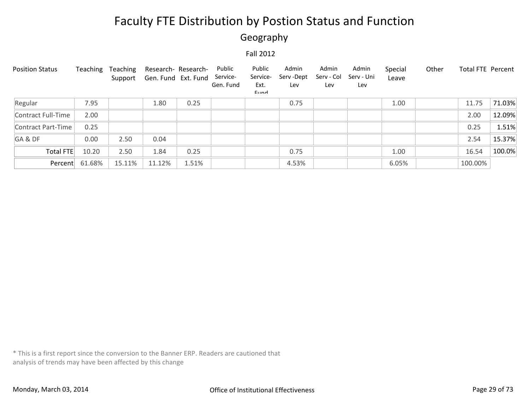### Geography

#### Fall 2012

| <b>Position Status</b> | Teaching | Teaching<br>Support | Research- Research-<br>Gen. Fund Ext. Fund |       | Public<br>Service-<br>Gen. Fund | Public<br>Service-<br>Ext.<br>$E$ <sub>IIM</sub> | Admin<br>Serv -Dept<br>Lev | Admin<br>Serv - Col<br>Lev | Admin<br>Serv - Uni<br>Lev | Special<br>Leave | Other | Total FTE Percent |        |
|------------------------|----------|---------------------|--------------------------------------------|-------|---------------------------------|--------------------------------------------------|----------------------------|----------------------------|----------------------------|------------------|-------|-------------------|--------|
| Regular                | 7.95     |                     | 1.80                                       | 0.25  |                                 |                                                  | 0.75                       |                            |                            | 1.00             |       | 11.75             | 71.03% |
| Contract Full-Time     | 2.00     |                     |                                            |       |                                 |                                                  |                            |                            |                            |                  |       | 2.00              | 12.09% |
| Contract Part-Time     | 0.25     |                     |                                            |       |                                 |                                                  |                            |                            |                            |                  |       | 0.25              | 1.51%  |
| GA&DF                  | 0.00     | 2.50                | 0.04                                       |       |                                 |                                                  |                            |                            |                            |                  |       | 2.54              | 15.37% |
| Total FTE              | 10.20    | 2.50                | 1.84                                       | 0.25  |                                 |                                                  | 0.75                       |                            |                            | 1.00             |       | 16.54             | 100.0% |
| Percent                | 61.68%   | 15.11%              | 11.12%                                     | 1.51% |                                 |                                                  | 4.53%                      |                            |                            | 6.05%            |       | 100.00%           |        |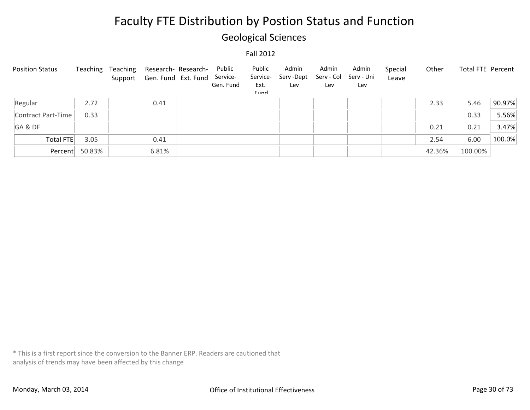### Geological Sciences

#### Fall 2012

| <b>Position Status</b> | Teaching       | Teaching | Research- Research-<br>Support Gen. Fund Ext. Fund | Public<br>Service-<br>Gen. Fund | Public<br>Service-<br>Ext.<br>Eund | Admin<br>Serv -Dept<br>Lev | Admin<br>Serv - Col<br>Lev | Admin<br>Serv - Uni<br>Lev | Special<br>Leave | Other  | Total FTE Percent |        |
|------------------------|----------------|----------|----------------------------------------------------|---------------------------------|------------------------------------|----------------------------|----------------------------|----------------------------|------------------|--------|-------------------|--------|
| Regular                | 2.72           |          | 0.41                                               |                                 |                                    |                            |                            |                            |                  | 2.33   | 5.46              | 90.97% |
| Contract Part-Time     | 0.33           |          |                                                    |                                 |                                    |                            |                            |                            |                  |        | 0.33              | 5.56%  |
| GA&DF                  |                |          |                                                    |                                 |                                    |                            |                            |                            |                  | 0.21   | 0.21              | 3.47%  |
| <b>Total FTE</b>       | 3.05           |          | 0.41                                               |                                 |                                    |                            |                            |                            |                  | 2.54   | 6.00              | 100.0% |
|                        | Percent 50.83% |          | 6.81%                                              |                                 |                                    |                            |                            |                            |                  | 42.36% | 100.00%           |        |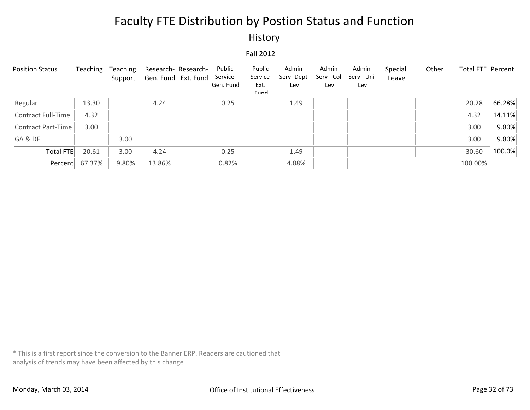#### History

#### Fall 2012

| <b>Position Status</b> | Teaching | Teaching | Support Gen. Fund Ext. Fund | Research- Research- | Public<br>Service-<br>Gen. Fund | Public<br>Service-<br>Ext.<br>Eund | Admin<br>Serv -Dept<br>Lev | Admin<br>Serv - Col<br>Lev | Admin<br>Serv - Uni<br>Lev | Special<br>Leave | Other | Total FTE Percent |        |
|------------------------|----------|----------|-----------------------------|---------------------|---------------------------------|------------------------------------|----------------------------|----------------------------|----------------------------|------------------|-------|-------------------|--------|
| Regular                | 13.30    |          | 4.24                        |                     | 0.25                            |                                    | 1.49                       |                            |                            |                  |       | 20.28             | 66.28% |
| Contract Full-Time     | 4.32     |          |                             |                     |                                 |                                    |                            |                            |                            |                  |       | 4.32              | 14.11% |
| Contract Part-Time     | 3.00     |          |                             |                     |                                 |                                    |                            |                            |                            |                  |       | 3.00              | 9.80%  |
| GA&DF                  |          | 3.00     |                             |                     |                                 |                                    |                            |                            |                            |                  |       | 3.00              | 9.80%  |
| Total FTE              | 20.61    | 3.00     | 4.24                        |                     | 0.25                            |                                    | 1.49                       |                            |                            |                  |       | 30.60             | 100.0% |
| Percent                | 67.37%   | 9.80%    | 13.86%                      |                     | 0.82%                           |                                    | 4.88%                      |                            |                            |                  |       | 100.00%           |        |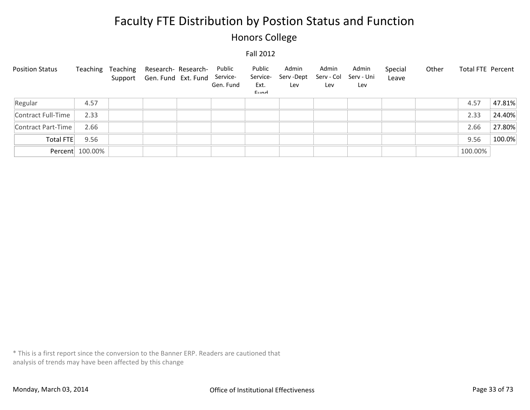### Honors College

#### Fall 2012

| <b>Position Status</b> |                 | Teaching Teaching Research-Research-<br>Support Gen. Fund Ext. Fund Service- | Public<br>Gen. Fund | Public<br>Service-<br>Ext.<br>Eund | Admin<br>Serv -Dept<br>Lev | Admin<br>Serv - Col<br>Lev | Admin<br>Serv - Uni<br>Lev | Special<br>Leave | Other | Total FTE Percent |        |
|------------------------|-----------------|------------------------------------------------------------------------------|---------------------|------------------------------------|----------------------------|----------------------------|----------------------------|------------------|-------|-------------------|--------|
| Regular                | 4.57            |                                                                              |                     |                                    |                            |                            |                            |                  |       | 4.57              | 47.81% |
| Contract Full-Time     | 2.33            |                                                                              |                     |                                    |                            |                            |                            |                  |       | 2.33              | 24.40% |
| Contract Part-Time     | 2.66            |                                                                              |                     |                                    |                            |                            |                            |                  |       | 2.66              | 27.80% |
| Total FTE              | 9.56            |                                                                              |                     |                                    |                            |                            |                            |                  |       | 9.56              | 100.0% |
|                        | Percent 100.00% |                                                                              |                     |                                    |                            |                            |                            |                  |       | 100.00%           |        |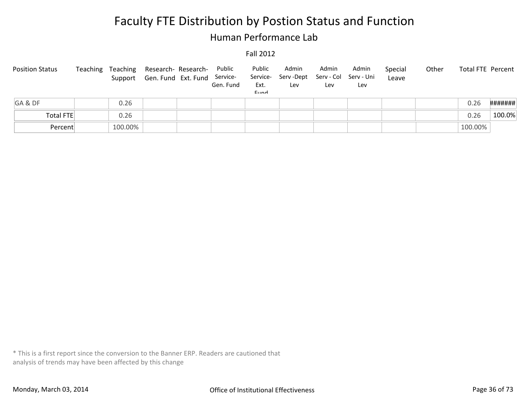### Human Performance Lab

#### Fall 2012

| <b>Position Status</b> | Teaching | Teaching<br>Support | Research- Research-<br>Gen. Fund Ext. Fund | Public<br>Service-<br>Gen. Fund | Public<br>Service-<br>Ext.<br>Eund | Admin<br>Serv -Dept<br>Lev | Admin<br>Lev | Admin<br>Serv - Col Serv - Uni<br>Lev | Special<br>Leave | Other | Total FTE Percent |         |
|------------------------|----------|---------------------|--------------------------------------------|---------------------------------|------------------------------------|----------------------------|--------------|---------------------------------------|------------------|-------|-------------------|---------|
| GA&DF                  |          | 0.26                |                                            |                                 |                                    |                            |              |                                       |                  |       | 0.26              | ####### |
| Total FTE              |          | 0.26                |                                            |                                 |                                    |                            |              |                                       |                  |       | 0.26              | 100.0%  |
| Percent                |          | 100.00%             |                                            |                                 |                                    |                            |              |                                       |                  |       | 100.00%           |         |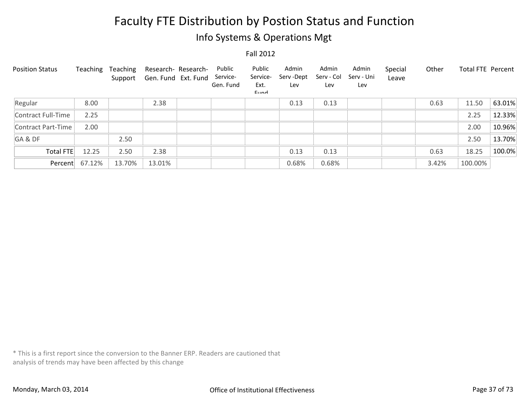### Info Systems & Operations Mgt

Fall 2012

| <b>Position Status</b> | Teaching | Teaching<br>Support | Gen. Fund Ext. Fund | Research- Research- | Public<br>Service-<br>Gen. Fund | Public<br>Service-<br>Ext.<br>Eund | Admin<br>Serv-Dept<br>Lev | Admin<br>Serv - Col<br>Lev | Admin<br>Serv - Uni<br>Lev | Special<br>Leave | Other | <b>Total FTE Percent</b> |        |
|------------------------|----------|---------------------|---------------------|---------------------|---------------------------------|------------------------------------|---------------------------|----------------------------|----------------------------|------------------|-------|--------------------------|--------|
| Regular                | 8.00     |                     | 2.38                |                     |                                 |                                    | 0.13                      | 0.13                       |                            |                  | 0.63  | 11.50                    | 63.01% |
| Contract Full-Time     | 2.25     |                     |                     |                     |                                 |                                    |                           |                            |                            |                  |       | 2.25                     | 12.33% |
| Contract Part-Time     | 2.00     |                     |                     |                     |                                 |                                    |                           |                            |                            |                  |       | 2.00                     | 10.96% |
| GA&DF                  |          | 2.50                |                     |                     |                                 |                                    |                           |                            |                            |                  |       | 2.50                     | 13.70% |
| Total FTE              | 12.25    | 2.50                | 2.38                |                     |                                 |                                    | 0.13                      | 0.13                       |                            |                  | 0.63  | 18.25                    | 100.0% |
| Percent                | 67.12%   | 13.70%              | 13.01%              |                     |                                 |                                    | 0.68%                     | 0.68%                      |                            |                  | 3.42% | 100.00%                  |        |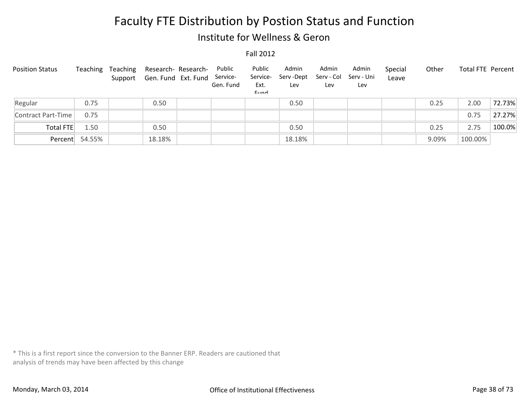### Institute for Wellness & Geron

#### Fall 2012

| <b>Position Status</b> | Teaching       | Teaching<br>Support | Research- Research-<br>Gen. Fund Ext. Fund | Public<br>Service-<br>Gen. Fund | Public<br>Service-<br>Ext.<br>Eund | Admin<br>Serv -Dept<br>Lev | Admin<br>Lev | Admin<br>Serv - Col Serv - Uni<br>Lev | Special<br>Leave | Other | Total FTE Percent |        |
|------------------------|----------------|---------------------|--------------------------------------------|---------------------------------|------------------------------------|----------------------------|--------------|---------------------------------------|------------------|-------|-------------------|--------|
| Regular                | 0.75           |                     | 0.50                                       |                                 |                                    | 0.50                       |              |                                       |                  | 0.25  | 2.00              | 72.73% |
| Contract Part-Time     | 0.75           |                     |                                            |                                 |                                    |                            |              |                                       |                  |       | 0.75              | 27.27% |
| Total FTE              | 1.50           |                     | 0.50                                       |                                 |                                    | 0.50                       |              |                                       |                  | 0.25  | 2.75              | 100.0% |
|                        | Percent 54.55% |                     | 18.18%                                     |                                 |                                    | 18.18%                     |              |                                       |                  | 9.09% | 100.00%           |        |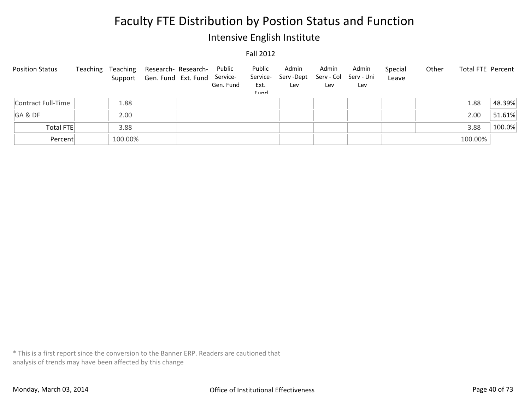### Intensive English Institute

#### Fall 2012

| <b>Position Status</b> | Teaching | Teaching | Research- Research-<br>Support Gen. Fund Ext. Fund Service- | Public<br>Gen. Fund | Public<br>Service-<br>Ext.<br>Eund | Admin<br>Serv -Dept<br>Lev | Admin<br>Lev | Admin<br>Serv - Col Serv - Uni<br>Lev | Special<br>Leave | Other | Total FTE Percent |        |
|------------------------|----------|----------|-------------------------------------------------------------|---------------------|------------------------------------|----------------------------|--------------|---------------------------------------|------------------|-------|-------------------|--------|
| Contract Full-Time     |          | 1.88     |                                                             |                     |                                    |                            |              |                                       |                  |       | 1.88              | 48.39% |
| GA&DF                  |          | 2.00     |                                                             |                     |                                    |                            |              |                                       |                  |       | 2.00              | 51.61% |
| <b>Total FTE</b>       |          | 3.88     |                                                             |                     |                                    |                            |              |                                       |                  |       | 3.88              | 100.0% |
| Percent                |          | 100.00%  |                                                             |                     |                                    |                            |              |                                       |                  |       | 100.00%           |        |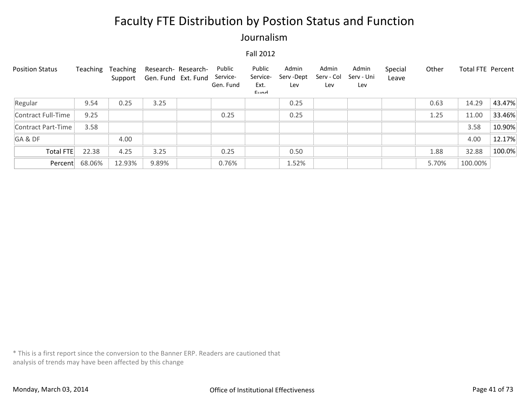### Journalism

#### Fall 2012

| <b>Position Status</b> | Teaching | Teaching<br>Support | Research- Research-<br>Gen. Fund Ext. Fund | Public<br>Service-<br>Gen. Fund | Public<br>Service-<br>Ext.<br>$E$ <sub>IIM</sub> | Admin<br>Serv -Dept<br>Lev | Admin<br>Serv - Col<br>Lev | Admin<br>Serv - Uni<br>Lev | Special<br>Leave | Other | Total FTE Percent |        |
|------------------------|----------|---------------------|--------------------------------------------|---------------------------------|--------------------------------------------------|----------------------------|----------------------------|----------------------------|------------------|-------|-------------------|--------|
| Regular                | 9.54     | 0.25                | 3.25                                       |                                 |                                                  | 0.25                       |                            |                            |                  | 0.63  | 14.29             | 43.47% |
| Contract Full-Time     | 9.25     |                     |                                            | 0.25                            |                                                  | 0.25                       |                            |                            |                  | 1.25  | 11.00             | 33.46% |
| Contract Part-Time     | 3.58     |                     |                                            |                                 |                                                  |                            |                            |                            |                  |       | 3.58              | 10.90% |
| GA&DF                  |          | 4.00                |                                            |                                 |                                                  |                            |                            |                            |                  |       | 4.00              | 12.17% |
| Total FTE              | 22.38    | 4.25                | 3.25                                       | 0.25                            |                                                  | 0.50                       |                            |                            |                  | 1.88  | 32.88             | 100.0% |
| Percent                | 68.06%   | 12.93%              | 9.89%                                      | 0.76%                           |                                                  | 1.52%                      |                            |                            |                  | 5.70% | 100.00%           |        |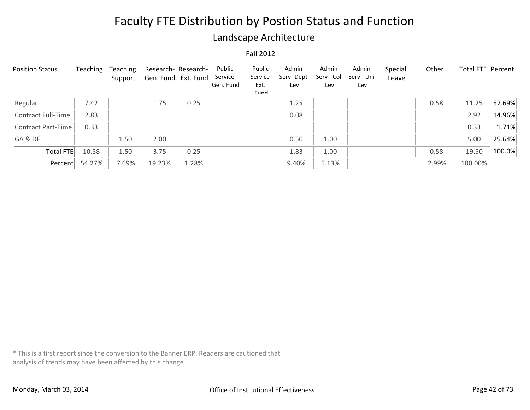### Landscape Architecture

#### Fall 2012

| <b>Position Status</b> | Teaching | Teaching<br>Support | Research- Research-<br>Gen. Fund Ext. Fund |       | Public<br>Service-<br>Gen. Fund | Public<br>Service-<br>Ext.<br>Eund | Admin<br>Serv-Dept<br>Lev | Admin<br>Serv - Col<br>Lev | Admin<br>Serv - Uni<br>Lev | Special<br>Leave | Other | <b>Total FTE Percent</b> |        |
|------------------------|----------|---------------------|--------------------------------------------|-------|---------------------------------|------------------------------------|---------------------------|----------------------------|----------------------------|------------------|-------|--------------------------|--------|
| Regular                | 7.42     |                     | 1.75                                       | 0.25  |                                 |                                    | 1.25                      |                            |                            |                  | 0.58  | 11.25                    | 57.69% |
| Contract Full-Time     | 2.83     |                     |                                            |       |                                 |                                    | 0.08                      |                            |                            |                  |       | 2.92                     | 14.96% |
| Contract Part-Time     | 0.33     |                     |                                            |       |                                 |                                    |                           |                            |                            |                  |       | 0.33                     | 1.71%  |
| GA&DF                  |          | 1.50                | 2.00                                       |       |                                 |                                    | 0.50                      | 1.00                       |                            |                  |       | 5.00                     | 25.64% |
| Total FTE              | 10.58    | 1.50                | 3.75                                       | 0.25  |                                 |                                    | 1.83                      | 1.00                       |                            |                  | 0.58  | 19.50                    | 100.0% |
| Percent                | 54.27%   | 7.69%               | 19.23%                                     | 1.28% |                                 |                                    | 9.40%                     | 5.13%                      |                            |                  | 2.99% | 100.00%                  |        |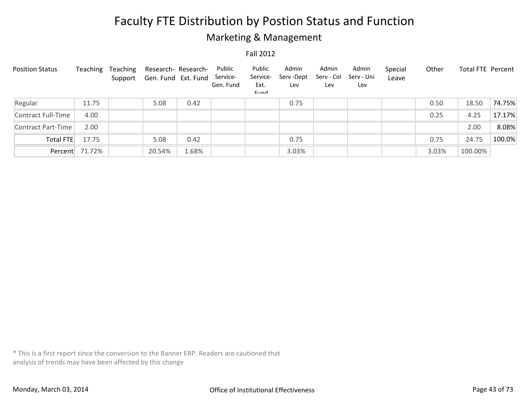### Marketing & Management

#### Fall 2012

| <b>Position Status</b> | Teaching       | Teaching | Research- Research-<br>Support Gen. Fund Ext. Fund |       | Public<br>Service-<br>Gen. Fund | Public<br>Service-<br>Ext.<br>$E$ <sub>IIM</sub> | Admin<br>Serv -Dept<br>Lev | Admin<br>Serv - Col<br>Lev | Admin<br>Serv - Uni<br>Lev | Special<br>Leave | Other | <b>Total FTE Percent</b> |        |
|------------------------|----------------|----------|----------------------------------------------------|-------|---------------------------------|--------------------------------------------------|----------------------------|----------------------------|----------------------------|------------------|-------|--------------------------|--------|
| Regular                | 11.75          |          | 5.08                                               | 0.42  |                                 |                                                  | 0.75                       |                            |                            |                  | 0.50  | 18.50                    | 74.75% |
| Contract Full-Time     | 4.00           |          |                                                    |       |                                 |                                                  |                            |                            |                            |                  | 0.25  | 4.25                     | 17.17% |
| Contract Part-Time     | 2.00           |          |                                                    |       |                                 |                                                  |                            |                            |                            |                  |       | 2.00                     | 8.08%  |
| Total FTE              | 17.75          |          | 5.08                                               | 0.42  |                                 |                                                  | 0.75                       |                            |                            |                  | 0.75  | 24.75                    | 100.0% |
|                        | Percent 71.72% |          | 20.54%                                             | 1.68% |                                 |                                                  | 3.03%                      |                            |                            |                  | 3.03% | 100.00%                  |        |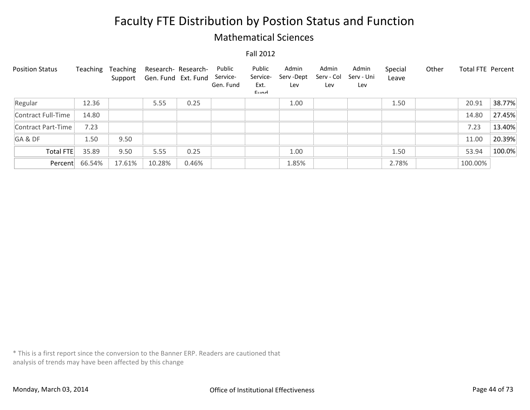### Mathematical Sciences

#### Fall 2012

| <b>Position Status</b> | Teaching | Teaching<br>Support | Research- Research-<br>Gen. Fund Ext. Fund |       | Public<br>Service-<br>Gen. Fund | Public<br>Service-<br>Ext.<br>$E$ <sub>IIM</sub> | Admin<br>Serv -Dept<br>Lev | Admin<br>Serv - Col<br>Lev | Admin<br>Serv - Uni<br>Lev | Special<br>Leave | Other | <b>Total FTE Percent</b> |        |
|------------------------|----------|---------------------|--------------------------------------------|-------|---------------------------------|--------------------------------------------------|----------------------------|----------------------------|----------------------------|------------------|-------|--------------------------|--------|
| Regular                | 12.36    |                     | 5.55                                       | 0.25  |                                 |                                                  | 1.00                       |                            |                            | 1.50             |       | 20.91                    | 38.77% |
| Contract Full-Time     | 14.80    |                     |                                            |       |                                 |                                                  |                            |                            |                            |                  |       | 14.80                    | 27.45% |
| Contract Part-Time     | 7.23     |                     |                                            |       |                                 |                                                  |                            |                            |                            |                  |       | 7.23                     | 13.40% |
| GA&DF                  | 1.50     | 9.50                |                                            |       |                                 |                                                  |                            |                            |                            |                  |       | 11.00                    | 20.39% |
| Total FTE              | 35.89    | 9.50                | 5.55                                       | 0.25  |                                 |                                                  | 1.00                       |                            |                            | 1.50             |       | 53.94                    | 100.0% |
| Percent                | 66.54%   | 17.61%              | 10.28%                                     | 0.46% |                                 |                                                  | 1.85%                      |                            |                            | 2.78%            |       | 100.00%                  |        |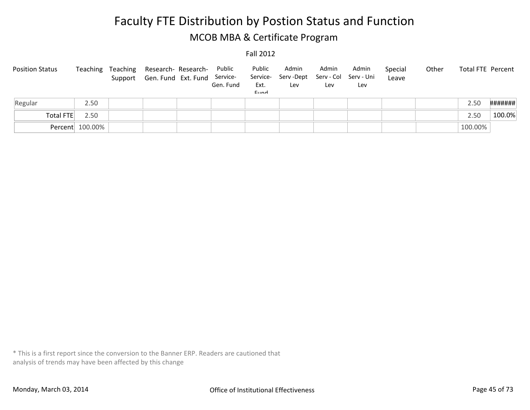## Faculty FTE Distribution by Postion Status and Function MCOB MBA & Certificate Program

#### Fall 2012

| <b>Position Status</b> |                 | Teaching Teaching<br>Support | Research- Research-<br>Gen. Fund Ext. Fund | Public<br>Service-<br>Gen. Fund | Public<br>Service-<br>Ext.<br>Eund | Admin<br>Serv -Dept<br>Lev | Admin<br>Lev | Admin<br>Serv - Col Serv - Uni<br>Lev | Special<br>Leave | Other | Total FTE Percent |         |
|------------------------|-----------------|------------------------------|--------------------------------------------|---------------------------------|------------------------------------|----------------------------|--------------|---------------------------------------|------------------|-------|-------------------|---------|
| Regular                | 2.50            |                              |                                            |                                 |                                    |                            |              |                                       |                  |       | 2.50              | ####### |
| Total FTE              | 2.50            |                              |                                            |                                 |                                    |                            |              |                                       |                  |       | 2.50              | 100.0%  |
|                        | Percent 100.00% |                              |                                            |                                 |                                    |                            |              |                                       |                  |       | 100.00%           |         |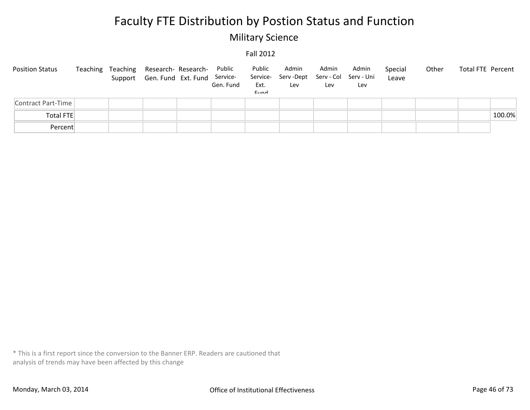### Military Science

#### Fall 2012

| <b>Position Status</b> |  | Teaching Teaching Research-Research-<br>Support Gen. Fund Ext. Fund Service- | Public<br>Gen. Fund | Public<br>Ext.<br>Eund | Admin<br>Service- Serv-Dept<br>Lev | Admin<br>Serv - Col Serv - Uni<br>Lev | Admin<br>Lev | Special<br>Leave | Other | Total FTE Percent |
|------------------------|--|------------------------------------------------------------------------------|---------------------|------------------------|------------------------------------|---------------------------------------|--------------|------------------|-------|-------------------|
| Contract Part-Time     |  |                                                                              |                     |                        |                                    |                                       |              |                  |       |                   |
| <b>Total FTE</b>       |  |                                                                              |                     |                        |                                    |                                       |              |                  |       | 100.0%            |
| Percent                |  |                                                                              |                     |                        |                                    |                                       |              |                  |       |                   |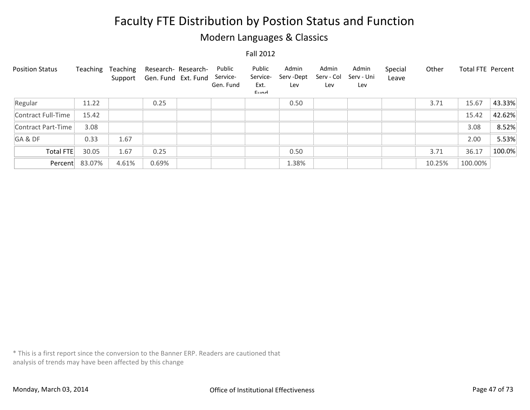### Modern Languages & Classics

Fall 2012

| <b>Position Status</b> | Teaching | Teaching<br>Support | Research- Research-<br>Gen. Fund Ext. Fund | Public<br>Service-<br>Gen. Fund | Public<br>Service-<br>Ext.<br>Eund | Admin<br>Serv-Dept<br>Lev | Admin<br>Serv - Col<br>Lev | Admin<br>Serv - Uni<br>Lev | Special<br>Leave | Other  | Total FTE Percent |        |
|------------------------|----------|---------------------|--------------------------------------------|---------------------------------|------------------------------------|---------------------------|----------------------------|----------------------------|------------------|--------|-------------------|--------|
| Regular                | 11.22    |                     | 0.25                                       |                                 |                                    | 0.50                      |                            |                            |                  | 3.71   | 15.67             | 43.33% |
| Contract Full-Time     | 15.42    |                     |                                            |                                 |                                    |                           |                            |                            |                  |        | 15.42             | 42.62% |
| Contract Part-Time     | 3.08     |                     |                                            |                                 |                                    |                           |                            |                            |                  |        | 3.08              | 8.52%  |
| GA&DF                  | 0.33     | 1.67                |                                            |                                 |                                    |                           |                            |                            |                  |        | 2.00              | 5.53%  |
| Total FTE              | 30.05    | 1.67                | 0.25                                       |                                 |                                    | 0.50                      |                            |                            |                  | 3.71   | 36.17             | 100.0% |
| Percent                | 83.07%   | 4.61%               | 0.69%                                      |                                 |                                    | 1.38%                     |                            |                            |                  | 10.25% | 100.00%           |        |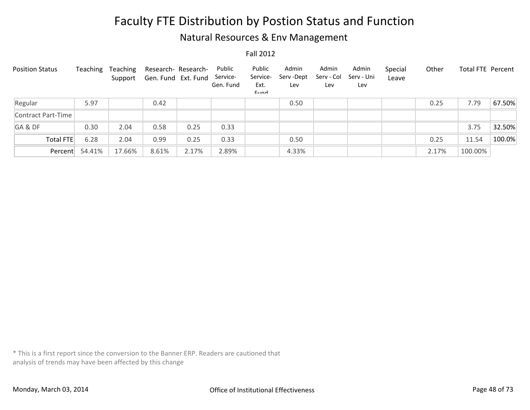### Natural Resources & Env Management

Fall 2012

| <b>Position Status</b> | Teaching | Teaching<br>Support | Research- Research-<br>Gen. Fund Ext. Fund |       | Public<br>Service-<br>Gen. Fund | Public<br>Service-<br>Ext.<br>Eund | Admin<br>Serv -Dept<br>Lev | Admin<br>Serv - Col<br>Lev | Admin<br>Serv - Uni<br>Lev | Special<br>Leave | Other | Total FTE Percent |        |
|------------------------|----------|---------------------|--------------------------------------------|-------|---------------------------------|------------------------------------|----------------------------|----------------------------|----------------------------|------------------|-------|-------------------|--------|
| Regular                | 5.97     |                     | 0.42                                       |       |                                 |                                    | 0.50                       |                            |                            |                  | 0.25  | 7.79              | 67.50% |
| Contract Part-Time     |          |                     |                                            |       |                                 |                                    |                            |                            |                            |                  |       |                   |        |
| GA&DF                  | 0.30     | 2.04                | 0.58                                       | 0.25  | 0.33                            |                                    |                            |                            |                            |                  |       | 3.75              | 32.50% |
| Total FTE              | 6.28     | 2.04                | 0.99                                       | 0.25  | 0.33                            |                                    | 0.50                       |                            |                            |                  | 0.25  | 11.54             | 100.0% |
| Percent                | 54.41%   | 17.66%              | 8.61%                                      | 2.17% | 2.89%                           |                                    | 4.33%                      |                            |                            |                  | 2.17% | 100.00%           |        |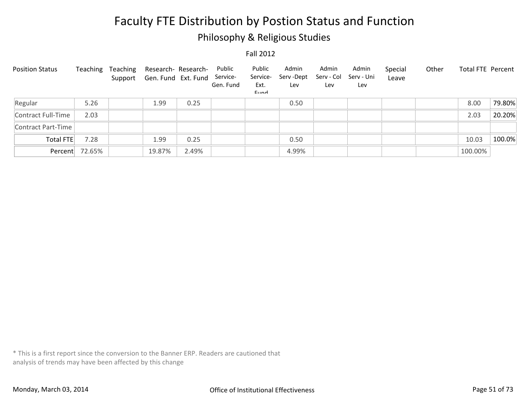### Philosophy & Religious Studies

#### Fall 2012

| <b>Position Status</b> | Teaching | Teaching | Research- Research-<br>Support Gen. Fund Ext. Fund |       | Public<br>Service-<br>Gen. Fund | Public<br>Service-<br>Ext.<br>Eund | Admin<br>Serv-Dept<br>Lev | Admin<br>Serv - Col<br>Lev | Admin<br>Serv - Uni<br>Lev | Special<br>Leave | Other | <b>Total FTE Percent</b> |        |
|------------------------|----------|----------|----------------------------------------------------|-------|---------------------------------|------------------------------------|---------------------------|----------------------------|----------------------------|------------------|-------|--------------------------|--------|
| Regular                | 5.26     |          | 1.99                                               | 0.25  |                                 |                                    | 0.50                      |                            |                            |                  |       | 8.00                     | 79.80% |
| Contract Full-Time     | 2.03     |          |                                                    |       |                                 |                                    |                           |                            |                            |                  |       | 2.03                     | 20.20% |
| Contract Part-Time     |          |          |                                                    |       |                                 |                                    |                           |                            |                            |                  |       |                          |        |
| Total FTE              | 7.28     |          | 1.99                                               | 0.25  |                                 |                                    | 0.50                      |                            |                            |                  |       | 10.03                    | 100.0% |
| Percent                | 72.65%   |          | 19.87%                                             | 2.49% |                                 |                                    | 4.99%                     |                            |                            |                  |       | 100.00%                  |        |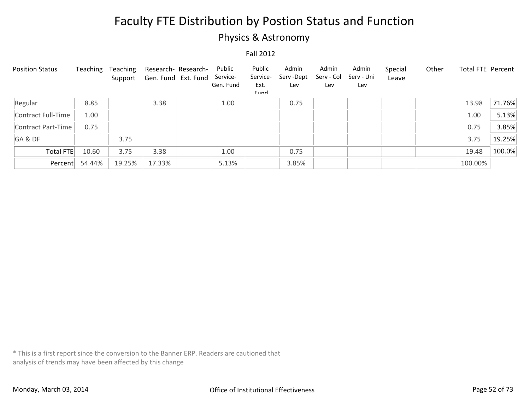### Physics & Astronomy

#### Fall 2012

| <b>Position Status</b> | Teaching | Teaching<br>Support | Research- Research-<br>Gen. Fund Ext. Fund | Public<br>Service-<br>Gen. Fund | Public<br>Service-<br>Ext.<br>Eund | Admin<br>Serv-Dept<br>Lev | Admin<br>Serv - Col<br>Lev | Admin<br>Serv - Uni<br>Lev | Special<br>Leave | Other | Total FTE Percent |        |
|------------------------|----------|---------------------|--------------------------------------------|---------------------------------|------------------------------------|---------------------------|----------------------------|----------------------------|------------------|-------|-------------------|--------|
| Regular                | 8.85     |                     | 3.38                                       | 1.00                            |                                    | 0.75                      |                            |                            |                  |       | 13.98             | 71.76% |
| Contract Full-Time     | 1.00     |                     |                                            |                                 |                                    |                           |                            |                            |                  |       | 1.00              | 5.13%  |
| Contract Part-Time     | 0.75     |                     |                                            |                                 |                                    |                           |                            |                            |                  |       | 0.75              | 3.85%  |
| GA&DF                  |          | 3.75                |                                            |                                 |                                    |                           |                            |                            |                  |       | 3.75              | 19.25% |
| Total FTE              | 10.60    | 3.75                | 3.38                                       | 1.00                            |                                    | 0.75                      |                            |                            |                  |       | 19.48             | 100.0% |
| Percent                | 54.44%   | 19.25%              | 17.33%                                     | 5.13%                           |                                    | 3.85%                     |                            |                            |                  |       | 100.00%           |        |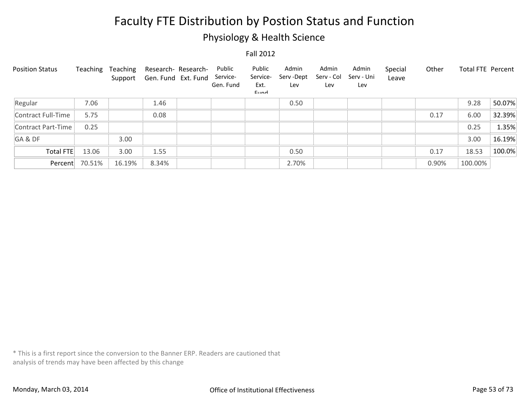### Physiology & Health Science

Fall 2012

| <b>Position Status</b> | Teaching | Teaching<br>Support | Research- Research-<br>Gen. Fund Ext. Fund | Public<br>Service-<br>Gen. Fund | Public<br>Service-<br>Ext.<br>Eund | Admin<br>Serv-Dept<br>Lev | Admin<br>Serv - Col<br>Lev | Admin<br>Serv - Uni<br>Lev | Special<br>Leave | Other | Total FTE Percent |        |
|------------------------|----------|---------------------|--------------------------------------------|---------------------------------|------------------------------------|---------------------------|----------------------------|----------------------------|------------------|-------|-------------------|--------|
| Regular                | 7.06     |                     | 1.46                                       |                                 |                                    | 0.50                      |                            |                            |                  |       | 9.28              | 50.07% |
| Contract Full-Time     | 5.75     |                     | 0.08                                       |                                 |                                    |                           |                            |                            |                  | 0.17  | 6.00              | 32.39% |
| Contract Part-Time     | 0.25     |                     |                                            |                                 |                                    |                           |                            |                            |                  |       | 0.25              | 1.35%  |
| GA&DF                  |          | 3.00                |                                            |                                 |                                    |                           |                            |                            |                  |       | 3.00              | 16.19% |
| Total FTE              | 13.06    | 3.00                | 1.55                                       |                                 |                                    | 0.50                      |                            |                            |                  | 0.17  | 18.53             | 100.0% |
| Percent                | 70.51%   | 16.19%              | 8.34%                                      |                                 |                                    | 2.70%                     |                            |                            |                  | 0.90% | 100.00%           |        |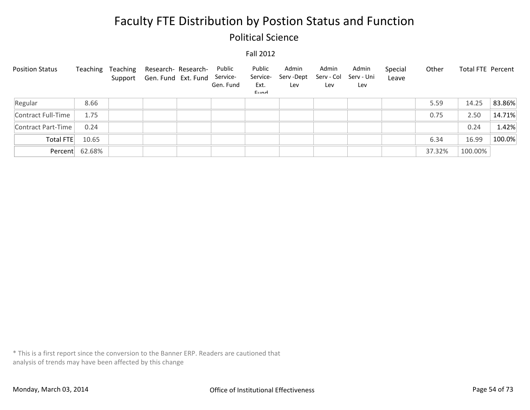### Political Science

#### Fall 2012

| <b>Position Status</b> | Teaching       | Teaching | Research- Research-<br>Support Gen. Fund Ext. Fund Service- | Public<br>Gen. Fund | Public<br>Service-<br>Ext.<br>Eund | Admin<br>Serv -Dept<br>Lev | Admin<br>Serv - Col<br>Lev | Admin<br>Serv - Uni<br>Lev | Special<br>Leave | Other  | Total FTE Percent |        |
|------------------------|----------------|----------|-------------------------------------------------------------|---------------------|------------------------------------|----------------------------|----------------------------|----------------------------|------------------|--------|-------------------|--------|
| Regular                | 8.66           |          |                                                             |                     |                                    |                            |                            |                            |                  | 5.59   | 14.25             | 83.86% |
| Contract Full-Time     | 1.75           |          |                                                             |                     |                                    |                            |                            |                            |                  | 0.75   | 2.50              | 14.71% |
| Contract Part-Time     | 0.24           |          |                                                             |                     |                                    |                            |                            |                            |                  |        | 0.24              | 1.42%  |
| Total FTE              | 10.65          |          |                                                             |                     |                                    |                            |                            |                            |                  | 6.34   | 16.99             | 100.0% |
|                        | Percent 62.68% |          |                                                             |                     |                                    |                            |                            |                            |                  | 37.32% | 100.00%           |        |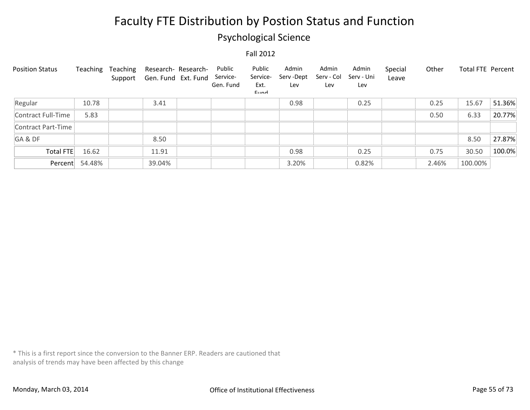### Psychological Science

#### Fall 2012

| <b>Position Status</b> | Teaching | Teaching<br>Support | Research- Research-<br>Gen. Fund Ext. Fund | Public<br>Service-<br>Gen. Fund | Public<br>Service-<br>Ext.<br>$E$ <sub>IIM</sub> | Admin<br>Serv -Dept<br>Lev | Admin<br>Serv - Col<br>Lev | Admin<br>Serv - Uni<br>Lev | Special<br>Leave | Other | Total FTE Percent |        |
|------------------------|----------|---------------------|--------------------------------------------|---------------------------------|--------------------------------------------------|----------------------------|----------------------------|----------------------------|------------------|-------|-------------------|--------|
| Regular                | 10.78    |                     | 3.41                                       |                                 |                                                  | 0.98                       |                            | 0.25                       |                  | 0.25  | 15.67             | 51.36% |
| Contract Full-Time     | 5.83     |                     |                                            |                                 |                                                  |                            |                            |                            |                  | 0.50  | 6.33              | 20.77% |
| Contract Part-Time     |          |                     |                                            |                                 |                                                  |                            |                            |                            |                  |       |                   |        |
| GA&DF                  |          |                     | 8.50                                       |                                 |                                                  |                            |                            |                            |                  |       | 8.50              | 27.87% |
| Total FTE              | 16.62    |                     | 11.91                                      |                                 |                                                  | 0.98                       |                            | 0.25                       |                  | 0.75  | 30.50             | 100.0% |
| Percent                | 54.48%   |                     | 39.04%                                     |                                 |                                                  | 3.20%                      |                            | 0.82%                      |                  | 2.46% | 100.00%           |        |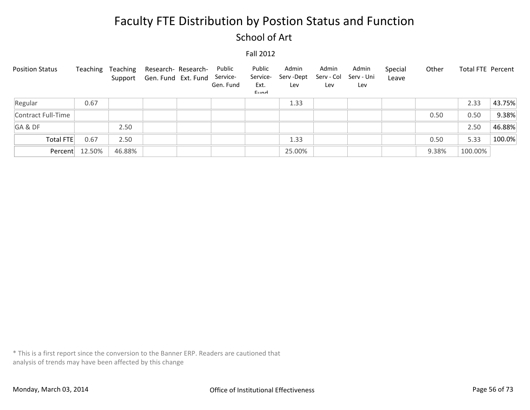### School of Art

#### Fall 2012

| <b>Position Status</b> | Teaching | Teaching | Research- Research-<br>Support Gen. Fund Ext. Fund Service- | Public<br>Gen. Fund | Public<br>Service-<br>Ext.<br>Eund | Admin<br>Serv -Dept<br>Lev | Admin<br>Serv - Col<br>Lev | Admin<br>Serv - Uni<br>Lev | Special<br>Leave | Other | Total FTE Percent |        |
|------------------------|----------|----------|-------------------------------------------------------------|---------------------|------------------------------------|----------------------------|----------------------------|----------------------------|------------------|-------|-------------------|--------|
| Regular                | 0.67     |          |                                                             |                     |                                    | 1.33                       |                            |                            |                  |       | 2.33              | 43.75% |
| Contract Full-Time     |          |          |                                                             |                     |                                    |                            |                            |                            |                  | 0.50  | 0.50              | 9.38%  |
| GA&DF                  |          | 2.50     |                                                             |                     |                                    |                            |                            |                            |                  |       | 2.50              | 46.88% |
| <b>Total FTE</b>       | 0.67     | 2.50     |                                                             |                     |                                    | 1.33                       |                            |                            |                  | 0.50  | 5.33              | 100.0% |
| Percent                | 12.50%   | 46.88%   |                                                             |                     |                                    | 25.00%                     |                            |                            |                  | 9.38% | 100.00%           |        |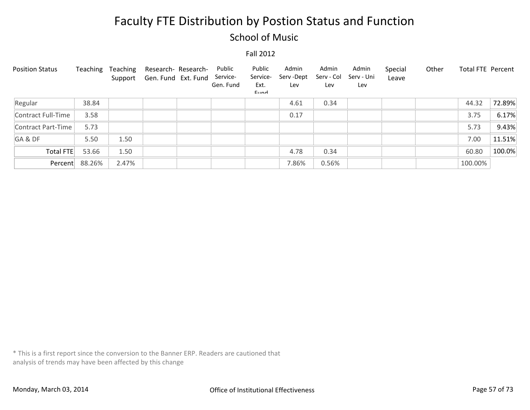### School of Music

#### Fall 2012

| <b>Position Status</b> | Teaching | Teaching<br>Support | Research- Research-<br>Gen. Fund Ext. Fund | Public<br>Service-<br>Gen. Fund | Public<br>Service-<br>Ext.<br>$E$ <sub>IIM</sub> | Admin<br>Serv -Dept<br>Lev | Admin<br>Serv - Col<br>Lev | Admin<br>Serv - Uni<br>Lev | Special<br>Leave | Other | <b>Total FTE Percent</b> |        |
|------------------------|----------|---------------------|--------------------------------------------|---------------------------------|--------------------------------------------------|----------------------------|----------------------------|----------------------------|------------------|-------|--------------------------|--------|
| Regular                | 38.84    |                     |                                            |                                 |                                                  | 4.61                       | 0.34                       |                            |                  |       | 44.32                    | 72.89% |
| Contract Full-Time     | 3.58     |                     |                                            |                                 |                                                  | 0.17                       |                            |                            |                  |       | 3.75                     | 6.17%  |
| Contract Part-Time     | 5.73     |                     |                                            |                                 |                                                  |                            |                            |                            |                  |       | 5.73                     | 9.43%  |
| GA&DF                  | 5.50     | 1.50                |                                            |                                 |                                                  |                            |                            |                            |                  |       | 7.00                     | 11.51% |
| Total FTE              | 53.66    | 1.50                |                                            |                                 |                                                  | 4.78                       | 0.34                       |                            |                  |       | 60.80                    | 100.0% |
| Percent                | 88.26%   | 2.47%               |                                            |                                 |                                                  | 7.86%                      | 0.56%                      |                            |                  |       | 100.00%                  |        |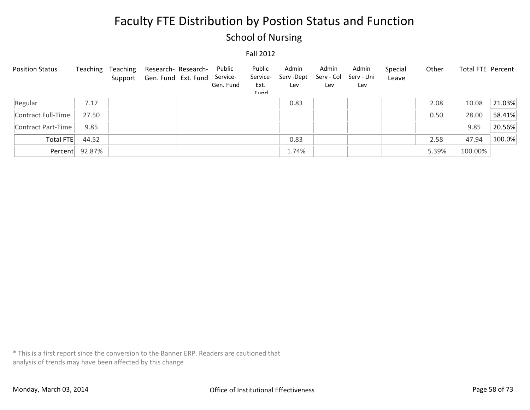### School of Nursing

#### Fall 2012

| <b>Position Status</b> | Teaching       | Teaching | Research- Research-<br>Support Gen. Fund Ext. Fund Service- | Public<br>Gen. Fund | Public<br>Service-<br>Ext.<br>Eund | Admin<br>Serv -Dept<br>Lev | Admin<br>Serv - Col<br>Lev | Admin<br>Serv - Uni<br>Lev | Special<br>Leave | Other | Total FTE Percent |        |
|------------------------|----------------|----------|-------------------------------------------------------------|---------------------|------------------------------------|----------------------------|----------------------------|----------------------------|------------------|-------|-------------------|--------|
| Regular                | 7.17           |          |                                                             |                     |                                    | 0.83                       |                            |                            |                  | 2.08  | 10.08             | 21.03% |
| Contract Full-Time     | 27.50          |          |                                                             |                     |                                    |                            |                            |                            |                  | 0.50  | 28.00             | 58.41% |
| Contract Part-Time     | 9.85           |          |                                                             |                     |                                    |                            |                            |                            |                  |       | 9.85              | 20.56% |
| Total FTE              | 44.52          |          |                                                             |                     |                                    | 0.83                       |                            |                            |                  | 2.58  | 47.94             | 100.0% |
|                        | Percent 92.87% |          |                                                             |                     |                                    | 1.74%                      |                            |                            |                  | 5.39% | 100.00%           |        |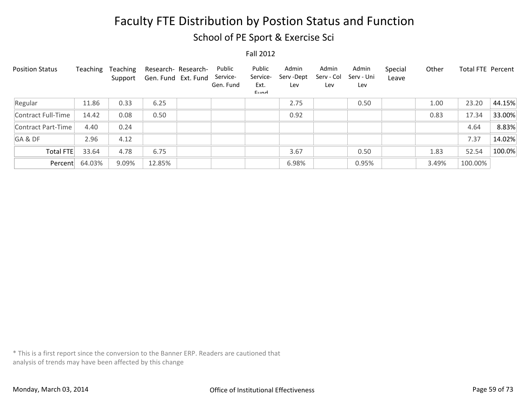School of PE Sport & Exercise Sci

Fall 2012

| <b>Position Status</b> | Teaching | Teaching<br>Support | Research- Research-<br>Gen. Fund Ext. Fund | Public<br>Service-<br>Gen. Fund | Public<br>Service-<br>Ext.<br>$E$ <sub>IIM</sub> | Admin<br>Serv -Dept<br>Lev | Admin<br>Serv - Col<br>Lev | Admin<br>Serv - Uni<br>Lev | Special<br>Leave | Other | <b>Total FTE Percent</b> |        |
|------------------------|----------|---------------------|--------------------------------------------|---------------------------------|--------------------------------------------------|----------------------------|----------------------------|----------------------------|------------------|-------|--------------------------|--------|
| Regular                | 11.86    | 0.33                | 6.25                                       |                                 |                                                  | 2.75                       |                            | 0.50                       |                  | 1.00  | 23.20                    | 44.15% |
| Contract Full-Time     | 14.42    | 0.08                | 0.50                                       |                                 |                                                  | 0.92                       |                            |                            |                  | 0.83  | 17.34                    | 33.00% |
| Contract Part-Time     | 4.40     | 0.24                |                                            |                                 |                                                  |                            |                            |                            |                  |       | 4.64                     | 8.83%  |
| GA&DF                  | 2.96     | 4.12                |                                            |                                 |                                                  |                            |                            |                            |                  |       | 7.37                     | 14.02% |
| <b>Total FTE</b>       | 33.64    | 4.78                | 6.75                                       |                                 |                                                  | 3.67                       |                            | 0.50                       |                  | 1.83  | 52.54                    | 100.0% |
| Percent                | 64.03%   | 9.09%               | 12.85%                                     |                                 |                                                  | 6.98%                      |                            | 0.95%                      |                  | 3.49% | 100.00%                  |        |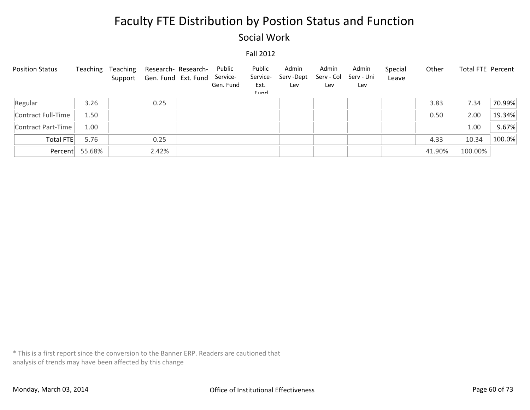### Social Work

#### Fall 2012

| <b>Position Status</b> | Teaching       | Teaching | Research- Research-<br>Support Gen. Fund Ext. Fund | Public<br>Service-<br>Gen. Fund | Public<br>Service-<br>Ext.<br>Eund | Admin<br>Serv -Dept<br>Lev | Admin<br>Serv - Col<br>Lev | Admin<br>Serv - Uni<br>Lev | Special<br>Leave | Other  | Total FTE Percent |        |
|------------------------|----------------|----------|----------------------------------------------------|---------------------------------|------------------------------------|----------------------------|----------------------------|----------------------------|------------------|--------|-------------------|--------|
| Regular                | 3.26           |          | 0.25                                               |                                 |                                    |                            |                            |                            |                  | 3.83   | 7.34              | 70.99% |
| Contract Full-Time     | 1.50           |          |                                                    |                                 |                                    |                            |                            |                            |                  | 0.50   | 2.00              | 19.34% |
| Contract Part-Time     | 1.00           |          |                                                    |                                 |                                    |                            |                            |                            |                  |        | 1.00              | 9.67%  |
| <b>Total FTE</b>       | 5.76           |          | 0.25                                               |                                 |                                    |                            |                            |                            |                  | 4.33   | 10.34             | 100.0% |
|                        | Percent 55.68% |          | 2.42%                                              |                                 |                                    |                            |                            |                            |                  | 41.90% | 100.00%           |        |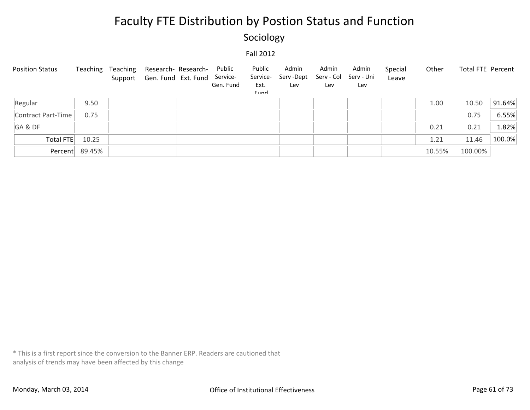### Sociology

#### Fall 2012

| <b>Position Status</b> |                | Teaching Teaching Research-Research-<br>Support Gen. Fund Ext. Fund Service- | Public<br>Gen. Fund | Public<br>Service-<br>Ext.<br>Eund | Admin<br>Serv-Dept<br>Lev | Admin<br>Serv - Col<br>Lev | Admin<br>Serv - Uni<br>Lev | Special<br>Leave | Other  | Total FTE Percent |        |
|------------------------|----------------|------------------------------------------------------------------------------|---------------------|------------------------------------|---------------------------|----------------------------|----------------------------|------------------|--------|-------------------|--------|
| Regular                | 9.50           |                                                                              |                     |                                    |                           |                            |                            |                  | 1.00   | 10.50             | 91.64% |
| Contract Part-Time     | 0.75           |                                                                              |                     |                                    |                           |                            |                            |                  |        | 0.75              | 6.55%  |
| GA&DF                  |                |                                                                              |                     |                                    |                           |                            |                            |                  | 0.21   | 0.21              | 1.82%  |
| Total FTE              | 10.25          |                                                                              |                     |                                    |                           |                            |                            |                  | 1.21   | 11.46             | 100.0% |
|                        | Percent 89.45% |                                                                              |                     |                                    |                           |                            |                            |                  | 10.55% | 100.00%           |        |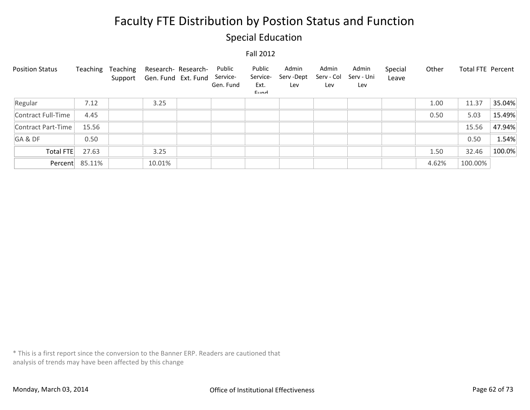### Special Education

#### Fall 2012

| <b>Position Status</b> | Teaching       | Teaching | Research- Research-<br>Support Gen. Fund Ext. Fund | Public<br>Service-<br>Gen. Fund | Public<br>Service-<br>Ext.<br>Eund | Admin<br>Serv -Dept<br>Lev | Admin<br>Serv - Col<br>Lev | Admin<br>Serv - Uni<br>Lev | Special<br>Leave | Other | Total FTE Percent |        |
|------------------------|----------------|----------|----------------------------------------------------|---------------------------------|------------------------------------|----------------------------|----------------------------|----------------------------|------------------|-------|-------------------|--------|
| Regular                | 7.12           |          | 3.25                                               |                                 |                                    |                            |                            |                            |                  | 1.00  | 11.37             | 35.04% |
| Contract Full-Time     | 4.45           |          |                                                    |                                 |                                    |                            |                            |                            |                  | 0.50  | 5.03              | 15.49% |
| Contract Part-Time     | 15.56          |          |                                                    |                                 |                                    |                            |                            |                            |                  |       | 15.56             | 47.94% |
| GA&DF                  | 0.50           |          |                                                    |                                 |                                    |                            |                            |                            |                  |       | 0.50              | 1.54%  |
| Total FTE              | 27.63          |          | 3.25                                               |                                 |                                    |                            |                            |                            |                  | 1.50  | 32.46             | 100.0% |
|                        | Percent 85.11% |          | 10.01%                                             |                                 |                                    |                            |                            |                            |                  | 4.62% | 100.00%           |        |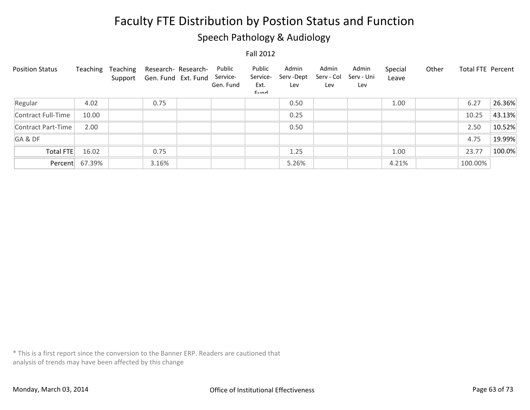### Speech Pathology & Audiology

Fall 2012

| <b>Position Status</b> | Teaching       | Teaching<br>Support | Research- Research-<br>Gen. Fund Ext. Fund | Public<br>Service-<br>Gen. Fund | Public<br>Service-<br>Ext.<br>$E$ <sub>IIM</sub> | Admin<br>Serv -Dept<br>Lev | Admin<br>Serv - Col<br>Lev | Admin<br>Serv - Uni<br>Lev | Special<br>Leave | Other | Total FTE Percent |        |
|------------------------|----------------|---------------------|--------------------------------------------|---------------------------------|--------------------------------------------------|----------------------------|----------------------------|----------------------------|------------------|-------|-------------------|--------|
| Regular                | 4.02           |                     | 0.75                                       |                                 |                                                  | 0.50                       |                            |                            | 1.00             |       | 6.27              | 26.36% |
| Contract Full-Time     | 10.00          |                     |                                            |                                 |                                                  | 0.25                       |                            |                            |                  |       | 10.25             | 43.13% |
| Contract Part-Time     | 2.00           |                     |                                            |                                 |                                                  | 0.50                       |                            |                            |                  |       | 2.50              | 10.52% |
| GA&DF                  |                |                     |                                            |                                 |                                                  |                            |                            |                            |                  |       | 4.75              | 19.99% |
| <b>Total FTE</b>       | 16.02          |                     | 0.75                                       |                                 |                                                  | 1.25                       |                            |                            | 1.00             |       | 23.77             | 100.0% |
|                        | Percent 67.39% |                     | 3.16%                                      |                                 |                                                  | 5.26%                      |                            |                            | 4.21%            |       | 100.00%           |        |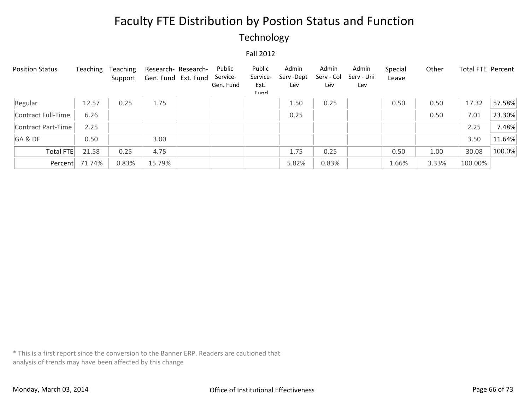### Technology

#### Fall 2012

| <b>Position Status</b> | Teaching | Teaching<br>Support | Gen. Fund Ext. Fund | Research- Research- | Public<br>Service-<br>Gen. Fund | Public<br>Service-<br>Ext.<br>Eund | Admin<br>Serv-Dept<br>Lev | Admin<br>Serv - Col<br>Lev | Admin<br>Serv - Uni<br>Lev | Special<br>Leave | Other | <b>Total FTE Percent</b> |        |
|------------------------|----------|---------------------|---------------------|---------------------|---------------------------------|------------------------------------|---------------------------|----------------------------|----------------------------|------------------|-------|--------------------------|--------|
| Regular                | 12.57    | 0.25                | 1.75                |                     |                                 |                                    | 1.50                      | 0.25                       |                            | 0.50             | 0.50  | 17.32                    | 57.58% |
| Contract Full-Time     | 6.26     |                     |                     |                     |                                 |                                    | 0.25                      |                            |                            |                  | 0.50  | 7.01                     | 23.30% |
| Contract Part-Time     | 2.25     |                     |                     |                     |                                 |                                    |                           |                            |                            |                  |       | 2.25                     | 7.48%  |
| GA&DF                  | 0.50     |                     | 3.00                |                     |                                 |                                    |                           |                            |                            |                  |       | 3.50                     | 11.64% |
| <b>Total FTE</b>       | 21.58    | 0.25                | 4.75                |                     |                                 |                                    | 1.75                      | 0.25                       |                            | 0.50             | 1.00  | 30.08                    | 100.0% |
| Percent                | 71.74%   | 0.83%               | 15.79%              |                     |                                 |                                    | 5.82%                     | 0.83%                      |                            | 1.66%            | 3.33% | 100.00%                  |        |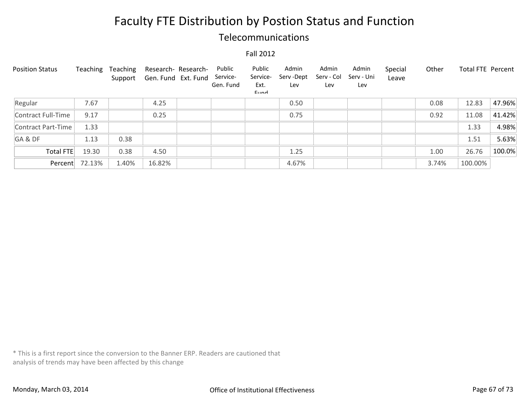### Telecommunications

#### Fall 2012

| <b>Position Status</b> | Teaching | Teaching<br>Support |        | Research- Research-<br>Gen. Fund Ext. Fund | Public<br>Service-<br>Gen. Fund | Public<br>Service-<br>Ext.<br>$E$ <sub>IIM</sub> | Admin<br>Serv -Dept<br>Lev | Admin<br>Serv - Col<br>Lev | Admin<br>Serv - Uni<br>Lev | Special<br>Leave | Other | Total FTE Percent |        |
|------------------------|----------|---------------------|--------|--------------------------------------------|---------------------------------|--------------------------------------------------|----------------------------|----------------------------|----------------------------|------------------|-------|-------------------|--------|
| Regular                | 7.67     |                     | 4.25   |                                            |                                 |                                                  | 0.50                       |                            |                            |                  | 0.08  | 12.83             | 47.96% |
| Contract Full-Time     | 9.17     |                     | 0.25   |                                            |                                 |                                                  | 0.75                       |                            |                            |                  | 0.92  | 11.08             | 41.42% |
| Contract Part-Time     | 1.33     |                     |        |                                            |                                 |                                                  |                            |                            |                            |                  |       | 1.33              | 4.98%  |
| GA&DF                  | 1.13     | 0.38                |        |                                            |                                 |                                                  |                            |                            |                            |                  |       | 1.51              | 5.63%  |
| Total FTE              | 19.30    | 0.38                | 4.50   |                                            |                                 |                                                  | 1.25                       |                            |                            |                  | 1.00  | 26.76             | 100.0% |
| Percent                | 72.13%   | 1.40%               | 16.82% |                                            |                                 |                                                  | 4.67%                      |                            |                            |                  | 3.74% | 100.00%           |        |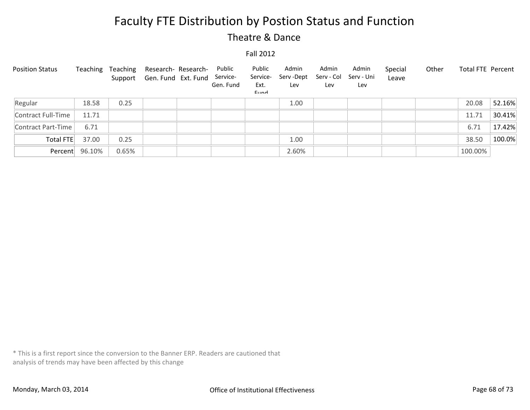### Theatre & Dance

#### Fall 2012

| <b>Position Status</b> | Teaching       | Teaching | Research- Research-<br>Support Gen. Fund Ext. Fund Service- | Public<br>Gen. Fund | Public<br>Service-<br>Ext.<br>Eund | Admin<br>Serv -Dept<br>Lev | Admin<br>Serv - Col<br>Lev | Admin<br>Serv - Uni<br>Lev | Special<br>Leave | Other | Total FTE Percent |        |
|------------------------|----------------|----------|-------------------------------------------------------------|---------------------|------------------------------------|----------------------------|----------------------------|----------------------------|------------------|-------|-------------------|--------|
| Regular                | 18.58          | 0.25     |                                                             |                     |                                    | 1.00                       |                            |                            |                  |       | 20.08             | 52.16% |
| Contract Full-Time     | 11.71          |          |                                                             |                     |                                    |                            |                            |                            |                  |       | 11.71             | 30.41% |
| Contract Part-Time     | 6.71           |          |                                                             |                     |                                    |                            |                            |                            |                  |       | 6.71              | 17.42% |
| Total FTE              | 37.00          | 0.25     |                                                             |                     |                                    | 1.00                       |                            |                            |                  |       | 38.50             | 100.0% |
|                        | Percent 96.10% | 0.65%    |                                                             |                     |                                    | 2.60%                      |                            |                            |                  |       | 100.00%           |        |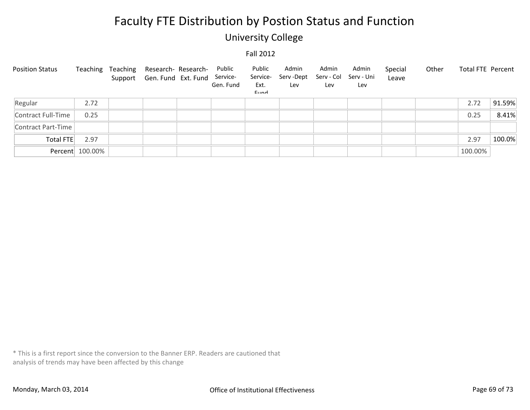### University College

#### Fall 2012

| <b>Position Status</b> | Teaching        | Teaching Research-Research-<br>Support Gen. Fund Ext. Fund | Public<br>Service-<br>Gen. Fund | Public<br>Service-<br>Ext.<br>Eund | Admin<br>Serv -Dept<br>Lev | Admin<br>Serv - Col<br>Lev | Admin<br>Serv - Uni<br>Lev | Special<br>Leave | Other | Total FTE Percent |        |
|------------------------|-----------------|------------------------------------------------------------|---------------------------------|------------------------------------|----------------------------|----------------------------|----------------------------|------------------|-------|-------------------|--------|
| Regular                | 2.72            |                                                            |                                 |                                    |                            |                            |                            |                  |       | 2.72              | 91.59% |
| Contract Full-Time     | 0.25            |                                                            |                                 |                                    |                            |                            |                            |                  |       | 0.25              | 8.41%  |
| Contract Part-Time     |                 |                                                            |                                 |                                    |                            |                            |                            |                  |       |                   |        |
| Total FTE              | 2.97            |                                                            |                                 |                                    |                            |                            |                            |                  |       | 2.97              | 100.0% |
|                        | Percent 100.00% |                                                            |                                 |                                    |                            |                            |                            |                  |       | 100.00%           |        |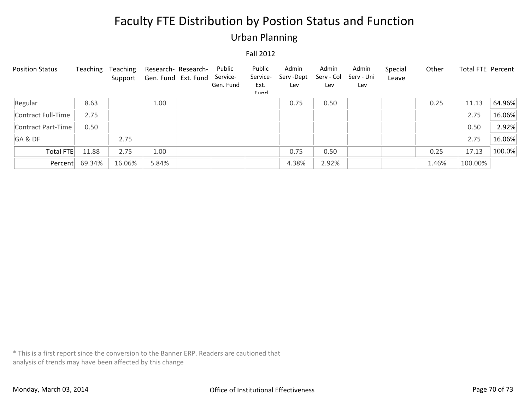### Urban Planning

#### Fall 2012

| <b>Position Status</b> | Teaching | Teaching<br>Support | Research- Research-<br>Gen. Fund Ext. Fund | Public<br>Service-<br>Gen. Fund | Public<br>Service-<br>Ext.<br>Eund | Admin<br>Serv-Dept<br>Lev | Admin<br>Serv - Col<br>Lev | Admin<br>Serv - Uni<br>Lev | Special<br>Leave | Other | Total FTE Percent |        |
|------------------------|----------|---------------------|--------------------------------------------|---------------------------------|------------------------------------|---------------------------|----------------------------|----------------------------|------------------|-------|-------------------|--------|
| Regular                | 8.63     |                     | 1.00                                       |                                 |                                    | 0.75                      | 0.50                       |                            |                  | 0.25  | 11.13             | 64.96% |
| Contract Full-Time     | 2.75     |                     |                                            |                                 |                                    |                           |                            |                            |                  |       | 2.75              | 16.06% |
| Contract Part-Time     | 0.50     |                     |                                            |                                 |                                    |                           |                            |                            |                  |       | 0.50              | 2.92%  |
| GA&DF                  |          | 2.75                |                                            |                                 |                                    |                           |                            |                            |                  |       | 2.75              | 16.06% |
| Total FTE              | 11.88    | 2.75                | 1.00                                       |                                 |                                    | 0.75                      | 0.50                       |                            |                  | 0.25  | 17.13             | 100.0% |
| Percent                | 69.34%   | 16.06%              | 5.84%                                      |                                 |                                    | 4.38%                     | 2.92%                      |                            |                  | 1.46% | 100.00%           |        |